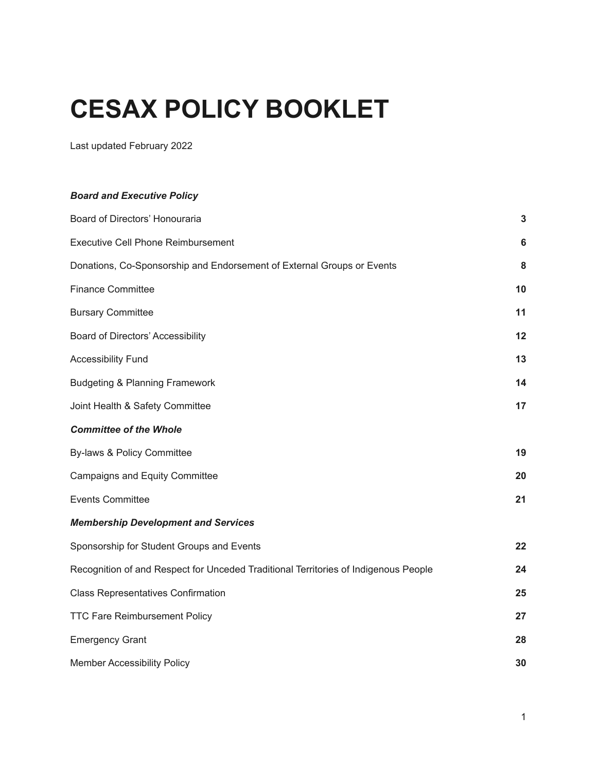# **CESAX POLICY BOOKLET**

Last updated February 2022

| <b>Board and Executive Policy</b>                                                   |    |
|-------------------------------------------------------------------------------------|----|
| Board of Directors' Honouraria                                                      | 3  |
| <b>Executive Cell Phone Reimbursement</b>                                           | 6  |
| Donations, Co-Sponsorship and Endorsement of External Groups or Events              | 8  |
| <b>Finance Committee</b>                                                            | 10 |
| <b>Bursary Committee</b>                                                            | 11 |
| Board of Directors' Accessibility                                                   | 12 |
| <b>Accessibility Fund</b>                                                           | 13 |
| <b>Budgeting &amp; Planning Framework</b>                                           | 14 |
| Joint Health & Safety Committee                                                     | 17 |
| <b>Committee of the Whole</b>                                                       |    |
| By-laws & Policy Committee                                                          | 19 |
| Campaigns and Equity Committee                                                      | 20 |
| <b>Events Committee</b>                                                             | 21 |
| <b>Membership Development and Services</b>                                          |    |
| Sponsorship for Student Groups and Events                                           | 22 |
| Recognition of and Respect for Unceded Traditional Territories of Indigenous People | 24 |
| <b>Class Representatives Confirmation</b>                                           | 25 |
| <b>TTC Fare Reimbursement Policy</b>                                                | 27 |
| <b>Emergency Grant</b>                                                              | 28 |
| <b>Member Accessibility Policy</b>                                                  | 30 |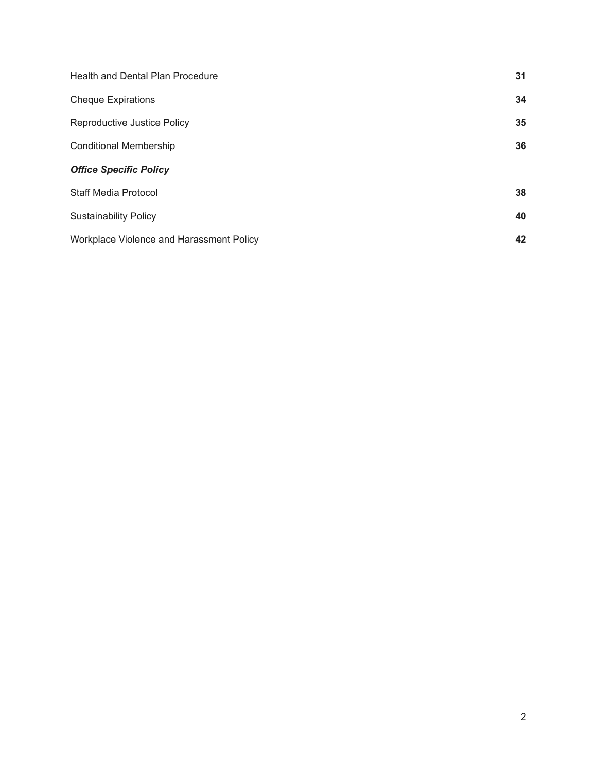| Health and Dental Plan Procedure         | 31 |
|------------------------------------------|----|
| <b>Cheque Expirations</b>                | 34 |
| Reproductive Justice Policy              | 35 |
| <b>Conditional Membership</b>            | 36 |
| <b>Office Specific Policy</b>            |    |
| Staff Media Protocol                     | 38 |
| <b>Sustainability Policy</b>             | 40 |
| Workplace Violence and Harassment Policy | 42 |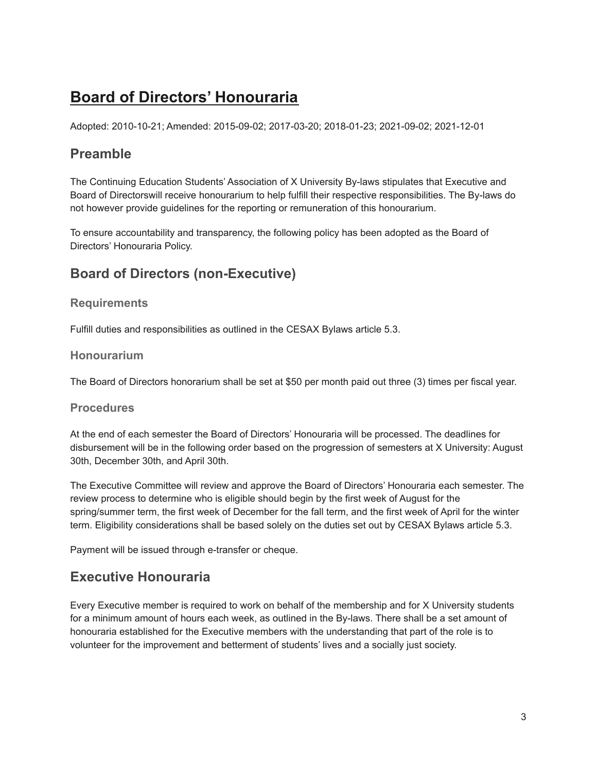## <span id="page-2-0"></span>**Board of Directors' Honouraria**

Adopted: 2010-10-21; Amended: 2015-09-02; 2017-03-20; 2018-01-23; 2021-09-02; 2021-12-01

### **Preamble**

The Continuing Education Students' Association of X University By-laws stipulates that Executive and Board of Directorswill receive honourarium to help fulfill their respective responsibilities. The By-laws do not however provide guidelines for the reporting or remuneration of this honourarium.

To ensure accountability and transparency, the following policy has been adopted as the Board of Directors' Honouraria Policy.

### **Board of Directors (non-Executive)**

#### **Requirements**

Fulfill duties and responsibilities as outlined in the CESAX Bylaws article 5.3.

#### **Honourarium**

The Board of Directors honorarium shall be set at \$50 per month paid out three (3) times per fiscal year.

#### **Procedures**

At the end of each semester the Board of Directors' Honouraria will be processed. The deadlines for disbursement will be in the following order based on the progression of semesters at X University: August 30th, December 30th, and April 30th.

The Executive Committee will review and approve the Board of Directors' Honouraria each semester. The review process to determine who is eligible should begin by the first week of August for the spring/summer term, the first week of December for the fall term, and the first week of April for the winter term. Eligibility considerations shall be based solely on the duties set out by CESAX Bylaws article 5.3.

Payment will be issued through e-transfer or cheque.

### **Executive Honouraria**

Every Executive member is required to work on behalf of the membership and for X University students for a minimum amount of hours each week, as outlined in the By-laws. There shall be a set amount of honouraria established for the Executive members with the understanding that part of the role is to volunteer for the improvement and betterment of students' lives and a socially just society.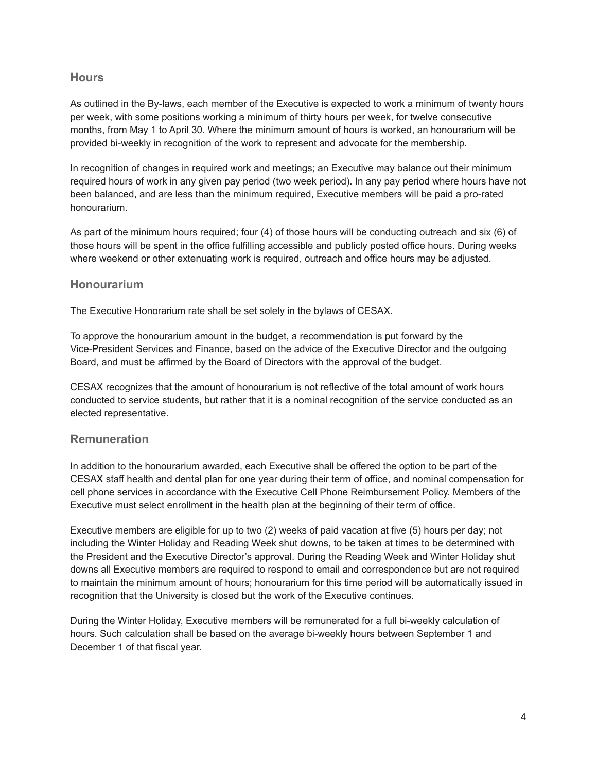#### **Hours**

As outlined in the By-laws, each member of the Executive is expected to work a minimum of twenty hours per week, with some positions working a minimum of thirty hours per week, for twelve consecutive months, from May 1 to April 30. Where the minimum amount of hours is worked, an honourarium will be provided bi-weekly in recognition of the work to represent and advocate for the membership.

In recognition of changes in required work and meetings; an Executive may balance out their minimum required hours of work in any given pay period (two week period). In any pay period where hours have not been balanced, and are less than the minimum required, Executive members will be paid a pro-rated honourarium.

As part of the minimum hours required; four (4) of those hours will be conducting outreach and six (6) of those hours will be spent in the office fulfilling accessible and publicly posted office hours. During weeks where weekend or other extenuating work is required, outreach and office hours may be adjusted.

#### **Honourarium**

The Executive Honorarium rate shall be set solely in the bylaws of CESAX.

To approve the honourarium amount in the budget, a recommendation is put forward by the Vice-President Services and Finance, based on the advice of the Executive Director and the outgoing Board, and must be affirmed by the Board of Directors with the approval of the budget.

CESAX recognizes that the amount of honourarium is not reflective of the total amount of work hours conducted to service students, but rather that it is a nominal recognition of the service conducted as an elected representative.

#### **Remuneration**

In addition to the honourarium awarded, each Executive shall be offered the option to be part of the CESAX staff health and dental plan for one year during their term of office, and nominal compensation for cell phone services in accordance with the Executive Cell Phone Reimbursement Policy. Members of the Executive must select enrollment in the health plan at the beginning of their term of office.

Executive members are eligible for up to two (2) weeks of paid vacation at five (5) hours per day; not including the Winter Holiday and Reading Week shut downs, to be taken at times to be determined with the President and the Executive Director's approval. During the Reading Week and Winter Holiday shut downs all Executive members are required to respond to email and correspondence but are not required to maintain the minimum amount of hours; honourarium for this time period will be automatically issued in recognition that the University is closed but the work of the Executive continues.

During the Winter Holiday, Executive members will be remunerated for a full bi-weekly calculation of hours. Such calculation shall be based on the average bi-weekly hours between September 1 and December 1 of that fiscal year.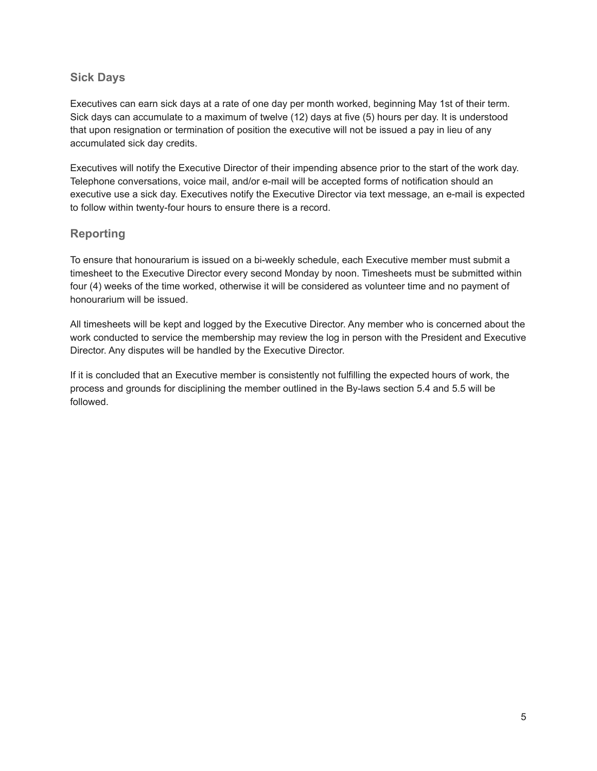#### **Sick Days**

Executives can earn sick days at a rate of one day per month worked, beginning May 1st of their term. Sick days can accumulate to a maximum of twelve (12) days at five (5) hours per day. It is understood that upon resignation or termination of position the executive will not be issued a pay in lieu of any accumulated sick day credits.

Executives will notify the Executive Director of their impending absence prior to the start of the work day. Telephone conversations, voice mail, and/or e-mail will be accepted forms of notification should an executive use a sick day. Executives notify the Executive Director via text message, an e-mail is expected to follow within twenty-four hours to ensure there is a record.

#### **Reporting**

To ensure that honourarium is issued on a bi-weekly schedule, each Executive member must submit a timesheet to the Executive Director every second Monday by noon. Timesheets must be submitted within four (4) weeks of the time worked, otherwise it will be considered as volunteer time and no payment of honourarium will be issued.

All timesheets will be kept and logged by the Executive Director. Any member who is concerned about the work conducted to service the membership may review the log in person with the President and Executive Director. Any disputes will be handled by the Executive Director.

If it is concluded that an Executive member is consistently not fulfilling the expected hours of work, the process and grounds for disciplining the member outlined in the By-laws section 5.4 and 5.5 will be followed.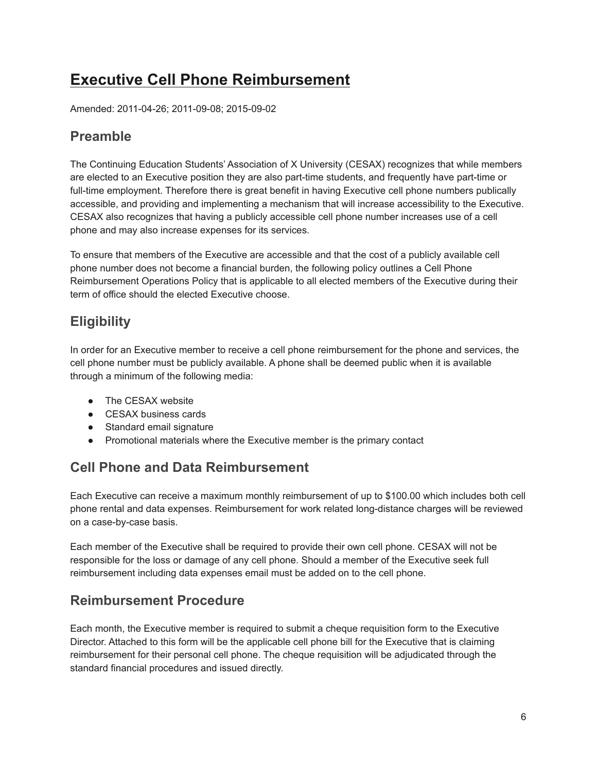### <span id="page-5-0"></span>**Executive Cell Phone Reimbursement**

Amended: 2011-04-26; 2011-09-08; 2015-09-02

### **Preamble**

The Continuing Education Students' Association of X University (CESAX) recognizes that while members are elected to an Executive position they are also part-time students, and frequently have part-time or full-time employment. Therefore there is great benefit in having Executive cell phone numbers publically accessible, and providing and implementing a mechanism that will increase accessibility to the Executive. CESAX also recognizes that having a publicly accessible cell phone number increases use of a cell phone and may also increase expenses for its services.

To ensure that members of the Executive are accessible and that the cost of a publicly available cell phone number does not become a financial burden, the following policy outlines a Cell Phone Reimbursement Operations Policy that is applicable to all elected members of the Executive during their term of office should the elected Executive choose.

### **Eligibility**

In order for an Executive member to receive a cell phone reimbursement for the phone and services, the cell phone number must be publicly available. A phone shall be deemed public when it is available through a minimum of the following media:

- The CESAX website
- CESAX business cards
- Standard email signature
- Promotional materials where the Executive member is the primary contact

### **Cell Phone and Data Reimbursement**

Each Executive can receive a maximum monthly reimbursement of up to \$100.00 which includes both cell phone rental and data expenses. Reimbursement for work related long-distance charges will be reviewed on a case-by-case basis.

Each member of the Executive shall be required to provide their own cell phone. CESAX will not be responsible for the loss or damage of any cell phone. Should a member of the Executive seek full reimbursement including data expenses email must be added on to the cell phone.

### **Reimbursement Procedure**

Each month, the Executive member is required to submit a cheque requisition form to the Executive Director. Attached to this form will be the applicable cell phone bill for the Executive that is claiming reimbursement for their personal cell phone. The cheque requisition will be adjudicated through the standard financial procedures and issued directly.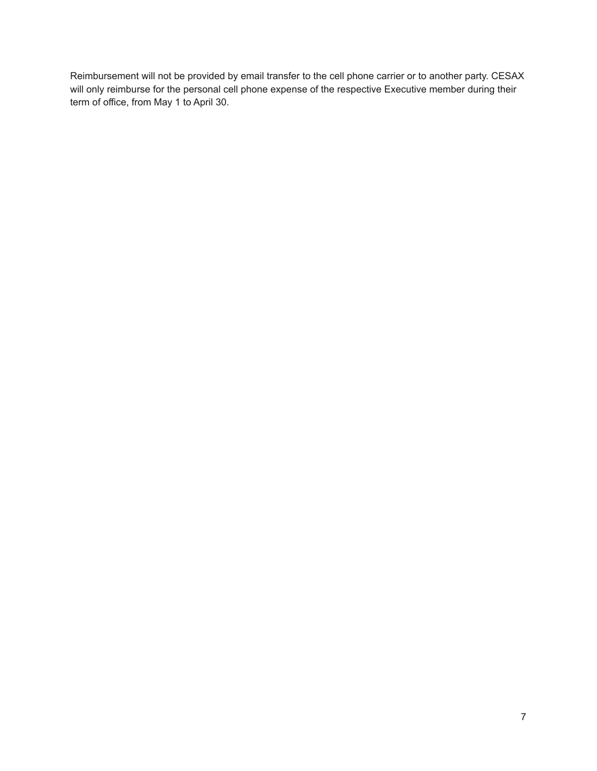Reimbursement will not be provided by email transfer to the cell phone carrier or to another party. CESAX will only reimburse for the personal cell phone expense of the respective Executive member during their term of office, from May 1 to April 30.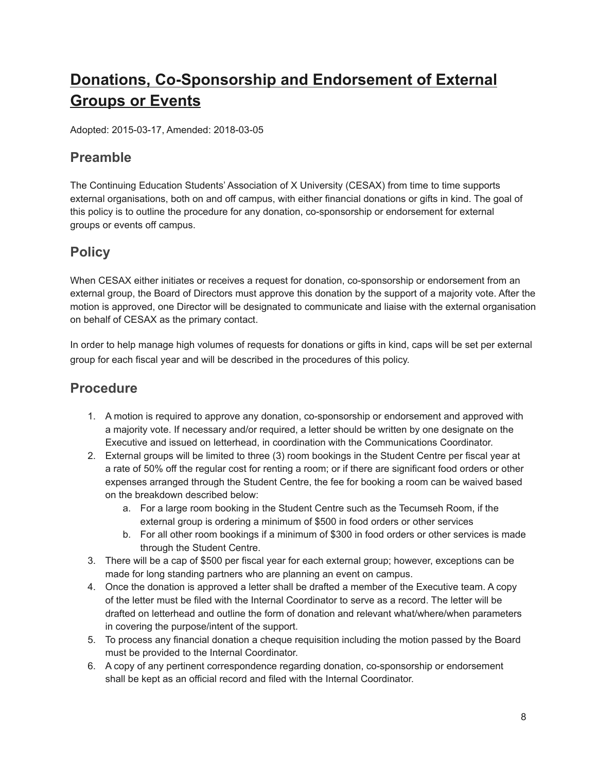## <span id="page-7-0"></span>**Donations, Co-Sponsorship and Endorsement of External Groups or Events**

Adopted: 2015-03-17, Amended: 2018-03-05

### **Preamble**

The Continuing Education Students' Association of X University (CESAX) from time to time supports external organisations, both on and off campus, with either financial donations or gifts in kind. The goal of this policy is to outline the procedure for any donation, co-sponsorship or endorsement for external groups or events off campus.

### **Policy**

When CESAX either initiates or receives a request for donation, co-sponsorship or endorsement from an external group, the Board of Directors must approve this donation by the support of a majority vote. After the motion is approved, one Director will be designated to communicate and liaise with the external organisation on behalf of CESAX as the primary contact.

In order to help manage high volumes of requests for donations or gifts in kind, caps will be set per external group for each fiscal year and will be described in the procedures of this policy.

### **Procedure**

- 1. A motion is required to approve any donation, co-sponsorship or endorsement and approved with a majority vote. If necessary and/or required, a letter should be written by one designate on the Executive and issued on letterhead, in coordination with the Communications Coordinator.
- 2. External groups will be limited to three (3) room bookings in the Student Centre per fiscal year at a rate of 50% off the regular cost for renting a room; or if there are significant food orders or other expenses arranged through the Student Centre, the fee for booking a room can be waived based on the breakdown described below:
	- a. For a large room booking in the Student Centre such as the Tecumseh Room, if the external group is ordering a minimum of \$500 in food orders or other services
	- b. For all other room bookings if a minimum of \$300 in food orders or other services is made through the Student Centre.
- 3. There will be a cap of \$500 per fiscal year for each external group; however, exceptions can be made for long standing partners who are planning an event on campus.
- 4. Once the donation is approved a letter shall be drafted a member of the Executive team. A copy of the letter must be filed with the Internal Coordinator to serve as a record. The letter will be drafted on letterhead and outline the form of donation and relevant what/where/when parameters in covering the purpose/intent of the support.
- 5. To process any financial donation a cheque requisition including the motion passed by the Board must be provided to the Internal Coordinator.
- 6. A copy of any pertinent correspondence regarding donation, co-sponsorship or endorsement shall be kept as an official record and filed with the Internal Coordinator.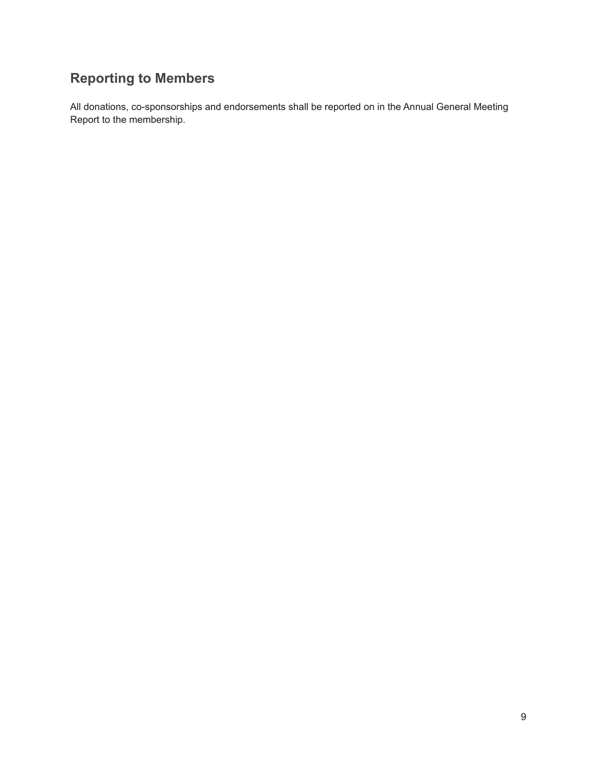### **Reporting to Members**

All donations, co-sponsorships and endorsements shall be reported on in the Annual General Meeting Report to the membership.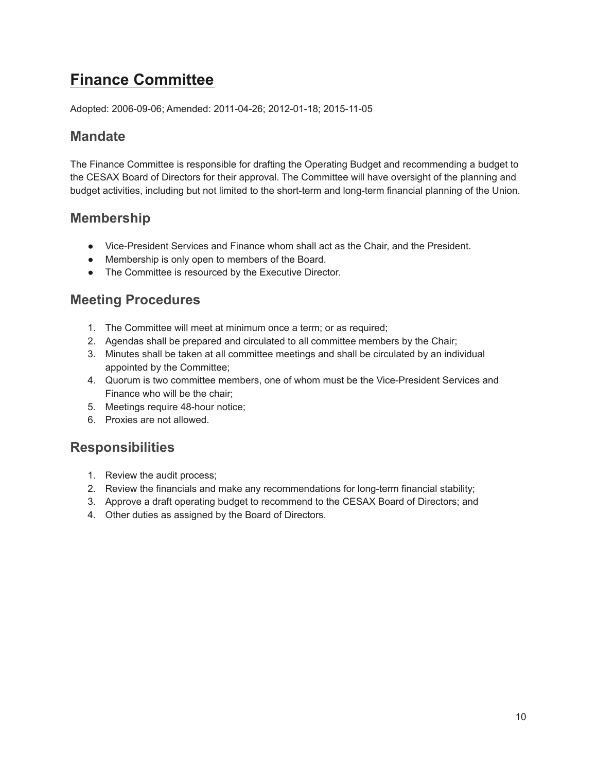## <span id="page-9-0"></span>**Finance Committee**

Adopted: 2006-09-06; Amended: 2011-04-26; 2012-01-18; 2015-11-05

### **Mandate**

The Finance Committee is responsible for drafting the Operating Budget and recommending a budget to the CESAX Board of Directors for their approval. The Committee will have oversight of the planning and budget activities, including but not limited to the short-term and long-term financial planning of the Union.

### **Membership**

- Vice-President Services and Finance whom shall act as the Chair, and the President.
- Membership is only open to members of the Board.
- The Committee is resourced by the Executive Director.

### **Meeting Procedures**

- 1. The Committee will meet at minimum once a term; or as required;
- 2. Agendas shall be prepared and circulated to all committee members by the Chair;
- 3. Minutes shall be taken at all committee meetings and shall be circulated by an individual appointed by the Committee;
- 4. Quorum is two committee members, one of whom must be the Vice-President Services and Finance who will be the chair;
- 5. Meetings require 48-hour notice;
- 6. Proxies are not allowed.

- 1. Review the audit process;
- 2. Review the financials and make any recommendations for long-term financial stability;
- 3. Approve a draft operating budget to recommend to the CESAX Board of Directors; and
- 4. Other duties as assigned by the Board of Directors.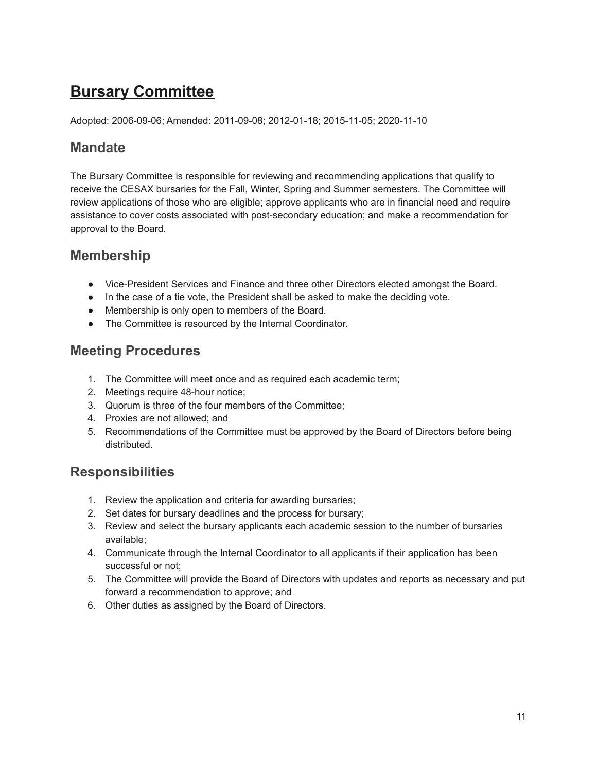## <span id="page-10-0"></span>**Bursary Committee**

Adopted: 2006-09-06; Amended: 2011-09-08; 2012-01-18; 2015-11-05; 2020-11-10

### **Mandate**

The Bursary Committee is responsible for reviewing and recommending applications that qualify to receive the CESAX bursaries for the Fall, Winter, Spring and Summer semesters. The Committee will review applications of those who are eligible; approve applicants who are in financial need and require assistance to cover costs associated with post-secondary education; and make a recommendation for approval to the Board.

### **Membership**

- Vice-President Services and Finance and three other Directors elected amongst the Board.
- In the case of a tie vote, the President shall be asked to make the deciding vote.
- Membership is only open to members of the Board.
- The Committee is resourced by the Internal Coordinator.

### **Meeting Procedures**

- 1. The Committee will meet once and as required each academic term;
- 2. Meetings require 48-hour notice;
- 3. Quorum is three of the four members of the Committee;
- 4. Proxies are not allowed; and
- 5. Recommendations of the Committee must be approved by the Board of Directors before being distributed.

- 1. Review the application and criteria for awarding bursaries;
- 2. Set dates for bursary deadlines and the process for bursary;
- 3. Review and select the bursary applicants each academic session to the number of bursaries available;
- 4. Communicate through the Internal Coordinator to all applicants if their application has been successful or not;
- 5. The Committee will provide the Board of Directors with updates and reports as necessary and put forward a recommendation to approve; and
- 6. Other duties as assigned by the Board of Directors.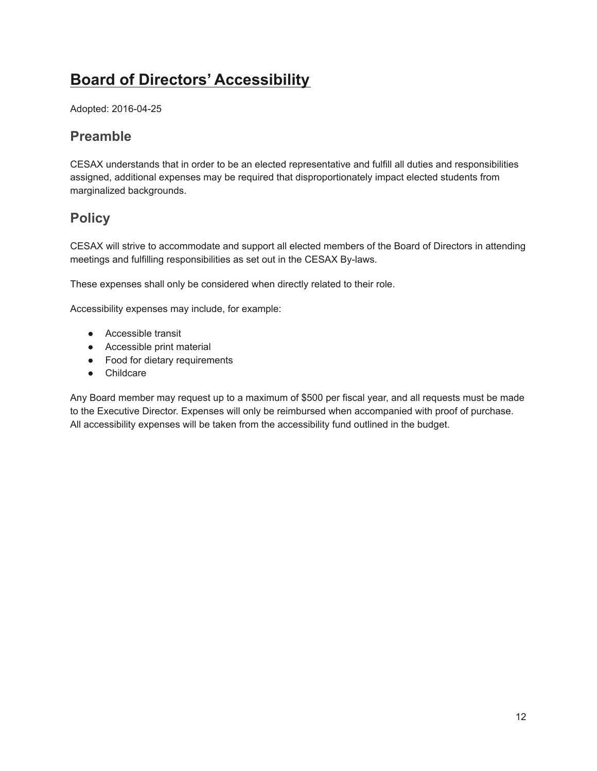## <span id="page-11-0"></span>**Board of Directors' Accessibility**

Adopted: 2016-04-25

### **Preamble**

CESAX understands that in order to be an elected representative and fulfill all duties and responsibilities assigned, additional expenses may be required that disproportionately impact elected students from marginalized backgrounds.

### **Policy**

CESAX will strive to accommodate and support all elected members of the Board of Directors in attending meetings and fulfilling responsibilities as set out in the CESAX By-laws.

These expenses shall only be considered when directly related to their role.

Accessibility expenses may include, for example:

- Accessible transit
- Accessible print material
- Food for dietary requirements
- Childcare

Any Board member may request up to a maximum of \$500 per fiscal year, and all requests must be made to the Executive Director. Expenses will only be reimbursed when accompanied with proof of purchase. All accessibility expenses will be taken from the accessibility fund outlined in the budget.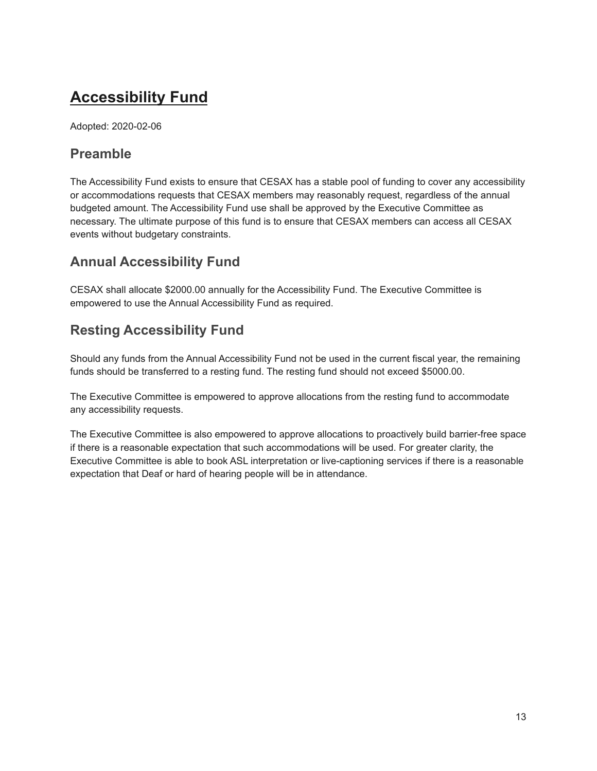## <span id="page-12-0"></span>**Accessibility Fund**

Adopted: 2020-02-06

### **Preamble**

The Accessibility Fund exists to ensure that CESAX has a stable pool of funding to cover any accessibility or accommodations requests that CESAX members may reasonably request, regardless of the annual budgeted amount. The Accessibility Fund use shall be approved by the Executive Committee as necessary. The ultimate purpose of this fund is to ensure that CESAX members can access all CESAX events without budgetary constraints.

### **Annual Accessibility Fund**

CESAX shall allocate \$2000.00 annually for the Accessibility Fund. The Executive Committee is empowered to use the Annual Accessibility Fund as required.

### **Resting Accessibility Fund**

Should any funds from the Annual Accessibility Fund not be used in the current fiscal year, the remaining funds should be transferred to a resting fund. The resting fund should not exceed \$5000.00.

The Executive Committee is empowered to approve allocations from the resting fund to accommodate any accessibility requests.

The Executive Committee is also empowered to approve allocations to proactively build barrier-free space if there is a reasonable expectation that such accommodations will be used. For greater clarity, the Executive Committee is able to book ASL interpretation or live-captioning services if there is a reasonable expectation that Deaf or hard of hearing people will be in attendance.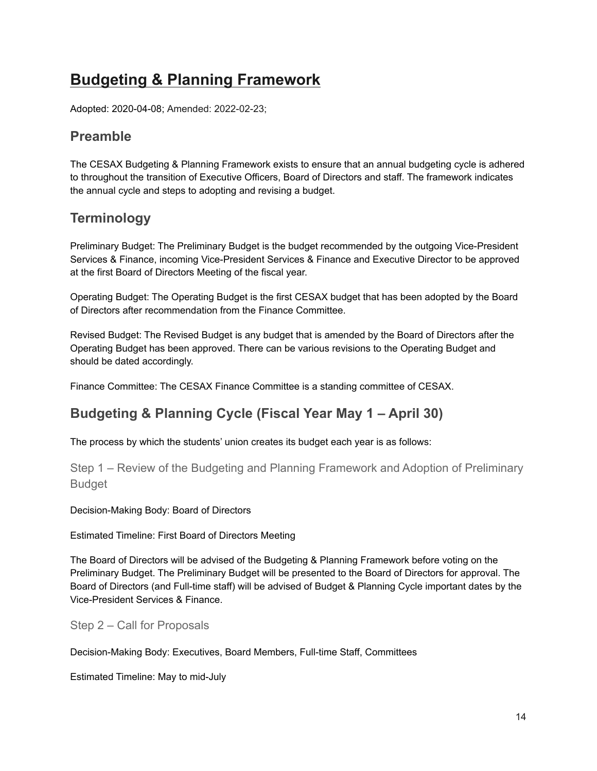### <span id="page-13-0"></span>**Budgeting & Planning Framework**

Adopted: 2020-04-08; Amended: 2022-02-23;

### **Preamble**

The CESAX Budgeting & Planning Framework exists to ensure that an annual budgeting cycle is adhered to throughout the transition of Executive Officers, Board of Directors and staff. The framework indicates the annual cycle and steps to adopting and revising a budget.

### **Terminology**

Preliminary Budget: The Preliminary Budget is the budget recommended by the outgoing Vice-President Services & Finance, incoming Vice-President Services & Finance and Executive Director to be approved at the first Board of Directors Meeting of the fiscal year.

Operating Budget: The Operating Budget is the first CESAX budget that has been adopted by the Board of Directors after recommendation from the Finance Committee.

Revised Budget: The Revised Budget is any budget that is amended by the Board of Directors after the Operating Budget has been approved. There can be various revisions to the Operating Budget and should be dated accordingly.

Finance Committee: The CESAX Finance Committee is a standing committee of CESAX.

### **Budgeting & Planning Cycle (Fiscal Year May 1 – April 30)**

The process by which the students' union creates its budget each year is as follows:

Step 1 – Review of the Budgeting and Planning Framework and Adoption of Preliminary **Budget** 

Decision-Making Body: Board of Directors

Estimated Timeline: First Board of Directors Meeting

The Board of Directors will be advised of the Budgeting & Planning Framework before voting on the Preliminary Budget. The Preliminary Budget will be presented to the Board of Directors for approval. The Board of Directors (and Full-time staff) will be advised of Budget & Planning Cycle important dates by the Vice-President Services & Finance.

Step 2 – Call for Proposals

Decision-Making Body: Executives, Board Members, Full-time Staff, Committees

Estimated Timeline: May to mid-July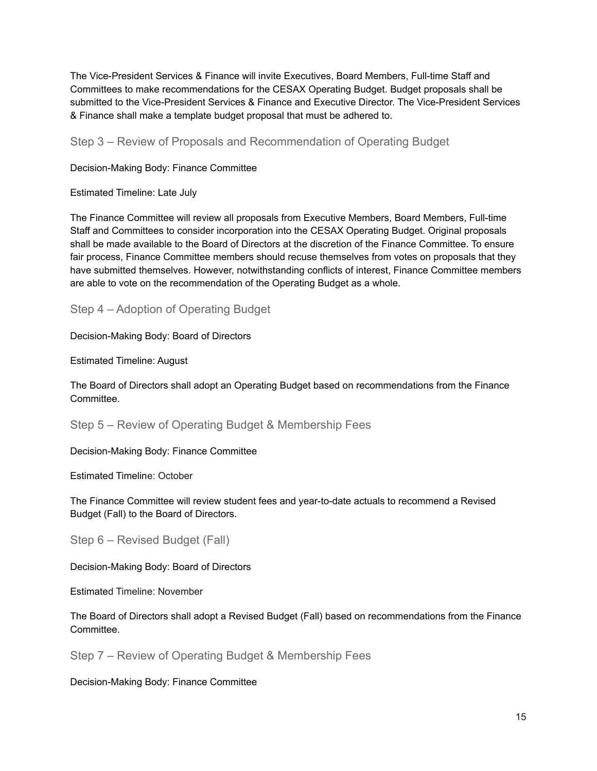The Vice-President Services & Finance will invite Executives, Board Members, Full-time Staff and Committees to make recommendations for the CESAX Operating Budget. Budget proposals shall be submitted to the Vice-President Services & Finance and Executive Director. The Vice-President Services & Finance shall make a template budget proposal that must be adhered to.

Step 3 – Review of Proposals and Recommendation of Operating Budget

Decision-Making Body: Finance Committee

Estimated Timeline: Late July

The Finance Committee will review all proposals from Executive Members, Board Members, Full-time Staff and Committees to consider incorporation into the CESAX Operating Budget. Original proposals shall be made available to the Board of Directors at the discretion of the Finance Committee. To ensure fair process, Finance Committee members should recuse themselves from votes on proposals that they have submitted themselves. However, notwithstanding conflicts of interest, Finance Committee members are able to vote on the recommendation of the Operating Budget as a whole.

Step 4 – Adoption of Operating Budget

Decision-Making Body: Board of Directors

Estimated Timeline: August

The Board of Directors shall adopt an Operating Budget based on recommendations from the Finance Committee.

Step 5 – Review of Operating Budget & Membership Fees

Decision-Making Body: Finance Committee

Estimated Timeline: October

The Finance Committee will review student fees and year-to-date actuals to recommend a Revised Budget (Fall) to the Board of Directors.

Step 6 – Revised Budget (Fall)

Decision-Making Body: Board of Directors

Estimated Timeline: November

The Board of Directors shall adopt a Revised Budget (Fall) based on recommendations from the Finance Committee.

Step 7 – Review of Operating Budget & Membership Fees

Decision-Making Body: Finance Committee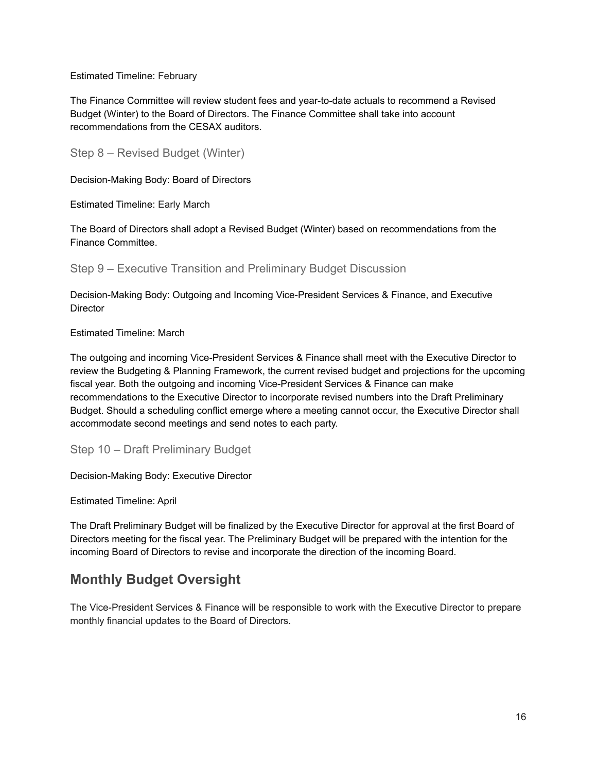Estimated Timeline: February

The Finance Committee will review student fees and year-to-date actuals to recommend a Revised Budget (Winter) to the Board of Directors. The Finance Committee shall take into account recommendations from the CESAX auditors.

Step 8 – Revised Budget (Winter)

Decision-Making Body: Board of Directors

Estimated Timeline: Early March

The Board of Directors shall adopt a Revised Budget (Winter) based on recommendations from the Finance Committee.

Step 9 – Executive Transition and Preliminary Budget Discussion

Decision-Making Body: Outgoing and Incoming Vice-President Services & Finance, and Executive **Director** 

Estimated Timeline: March

The outgoing and incoming Vice-President Services & Finance shall meet with the Executive Director to review the Budgeting & Planning Framework, the current revised budget and projections for the upcoming fiscal year. Both the outgoing and incoming Vice-President Services & Finance can make recommendations to the Executive Director to incorporate revised numbers into the Draft Preliminary Budget. Should a scheduling conflict emerge where a meeting cannot occur, the Executive Director shall accommodate second meetings and send notes to each party.

Step 10 – Draft Preliminary Budget

Decision-Making Body: Executive Director

Estimated Timeline: April

The Draft Preliminary Budget will be finalized by the Executive Director for approval at the first Board of Directors meeting for the fiscal year. The Preliminary Budget will be prepared with the intention for the incoming Board of Directors to revise and incorporate the direction of the incoming Board.

### **Monthly Budget Oversight**

The Vice-President Services & Finance will be responsible to work with the Executive Director to prepare monthly financial updates to the Board of Directors.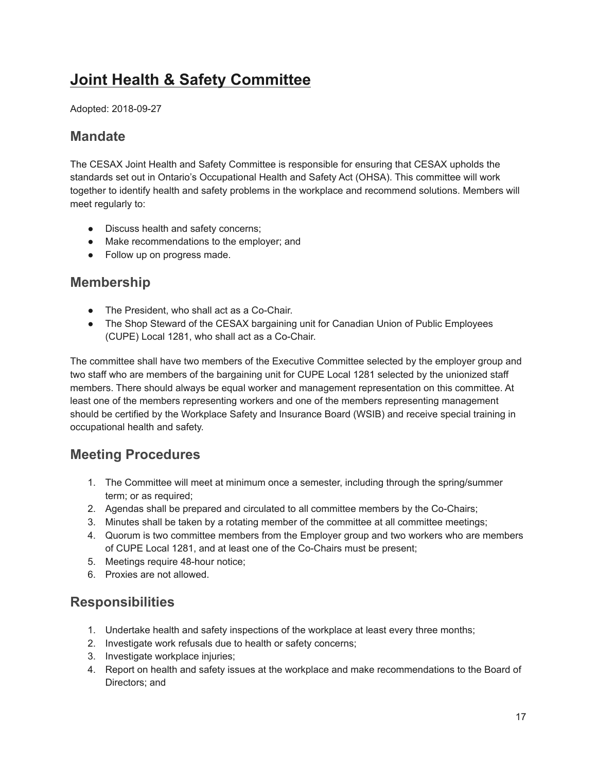## <span id="page-16-0"></span>**Joint Health & Safety Committee**

Adopted: 2018-09-27

### **Mandate**

The CESAX Joint Health and Safety Committee is responsible for ensuring that CESAX upholds the standards set out in Ontario's Occupational Health and Safety Act (OHSA). This committee will work together to identify health and safety problems in the workplace and recommend solutions. Members will meet regularly to:

- Discuss health and safety concerns;
- Make recommendations to the employer; and
- Follow up on progress made.

### **Membership**

- The President, who shall act as a Co-Chair.
- The Shop Steward of the CESAX bargaining unit for Canadian Union of Public Employees (CUPE) Local 1281, who shall act as a Co-Chair.

The committee shall have two members of the Executive Committee selected by the employer group and two staff who are members of the bargaining unit for CUPE Local 1281 selected by the unionized staff members. There should always be equal worker and management representation on this committee. At least one of the members representing workers and one of the members representing management should be certified by the Workplace Safety and Insurance Board (WSIB) and receive special training in occupational health and safety.

### **Meeting Procedures**

- 1. The Committee will meet at minimum once a semester, including through the spring/summer term; or as required;
- 2. Agendas shall be prepared and circulated to all committee members by the Co-Chairs;
- 3. Minutes shall be taken by a rotating member of the committee at all committee meetings;
- 4. Quorum is two committee members from the Employer group and two workers who are members of CUPE Local 1281, and at least one of the Co-Chairs must be present;
- 5. Meetings require 48-hour notice;
- 6. Proxies are not allowed.

- 1. Undertake health and safety inspections of the workplace at least every three months;
- 2. Investigate work refusals due to health or safety concerns;
- 3. Investigate workplace injuries;
- 4. Report on health and safety issues at the workplace and make recommendations to the Board of Directors; and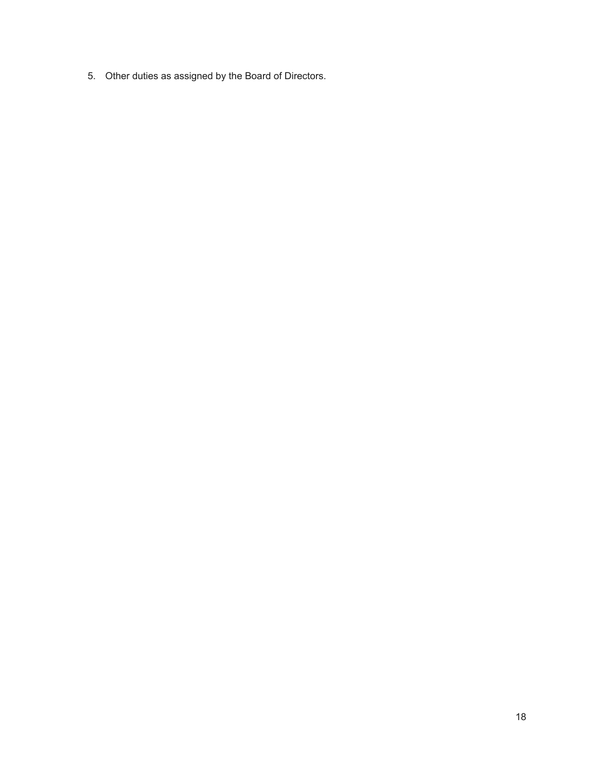5. Other duties as assigned by the Board of Directors.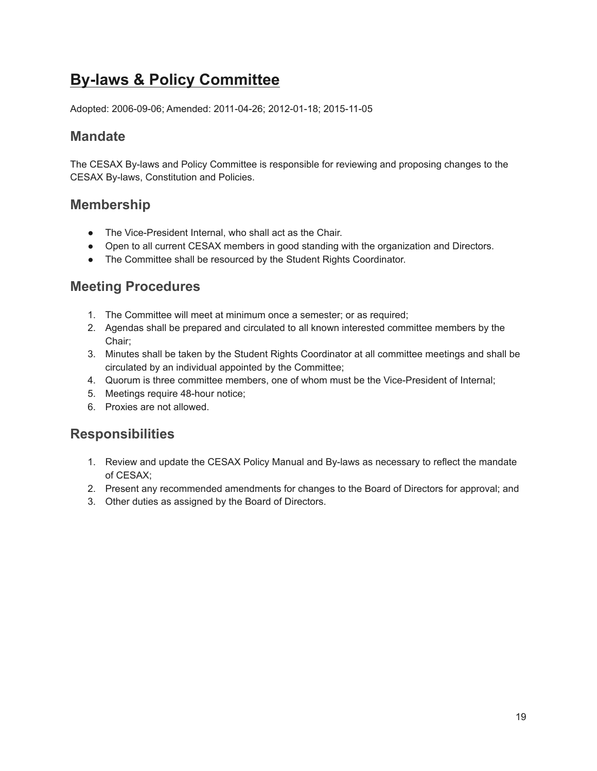### <span id="page-18-0"></span>**By-laws & Policy Committee**

Adopted: 2006-09-06; Amended: 2011-04-26; 2012-01-18; 2015-11-05

### **Mandate**

The CESAX By-laws and Policy Committee is responsible for reviewing and proposing changes to the CESAX By-laws, Constitution and Policies.

### **Membership**

- The Vice-President Internal, who shall act as the Chair.
- Open to all current CESAX members in good standing with the organization and Directors.
- The Committee shall be resourced by the Student Rights Coordinator.

### **Meeting Procedures**

- 1. The Committee will meet at minimum once a semester; or as required;
- 2. Agendas shall be prepared and circulated to all known interested committee members by the Chair;
- 3. Minutes shall be taken by the Student Rights Coordinator at all committee meetings and shall be circulated by an individual appointed by the Committee;
- 4. Quorum is three committee members, one of whom must be the Vice-President of Internal;
- 5. Meetings require 48-hour notice;
- 6. Proxies are not allowed.

- 1. Review and update the CESAX Policy Manual and By-laws as necessary to reflect the mandate of CESAX;
- 2. Present any recommended amendments for changes to the Board of Directors for approval; and
- 3. Other duties as assigned by the Board of Directors.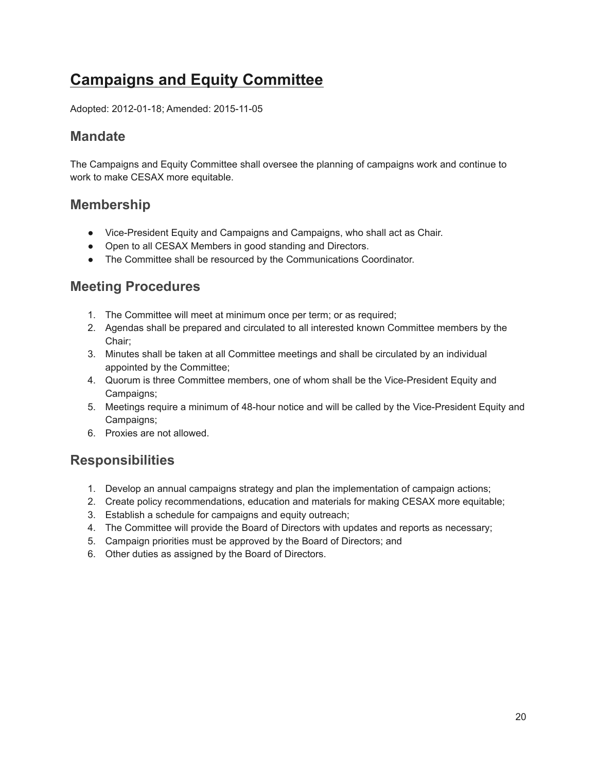### <span id="page-19-0"></span>**Campaigns and Equity Committee**

Adopted: 2012-01-18; Amended: 2015-11-05

### **Mandate**

The Campaigns and Equity Committee shall oversee the planning of campaigns work and continue to work to make CESAX more equitable.

### **Membership**

- Vice-President Equity and Campaigns and Campaigns, who shall act as Chair.
- Open to all CESAX Members in good standing and Directors.
- The Committee shall be resourced by the Communications Coordinator.

### **Meeting Procedures**

- 1. The Committee will meet at minimum once per term; or as required;
- 2. Agendas shall be prepared and circulated to all interested known Committee members by the Chair;
- 3. Minutes shall be taken at all Committee meetings and shall be circulated by an individual appointed by the Committee;
- 4. Quorum is three Committee members, one of whom shall be the Vice-President Equity and Campaigns;
- 5. Meetings require a minimum of 48-hour notice and will be called by the Vice-President Equity and Campaigns:
- 6. Proxies are not allowed.

- 1. Develop an annual campaigns strategy and plan the implementation of campaign actions;
- 2. Create policy recommendations, education and materials for making CESAX more equitable;
- 3. Establish a schedule for campaigns and equity outreach;
- 4. The Committee will provide the Board of Directors with updates and reports as necessary;
- 5. Campaign priorities must be approved by the Board of Directors; and
- 6. Other duties as assigned by the Board of Directors.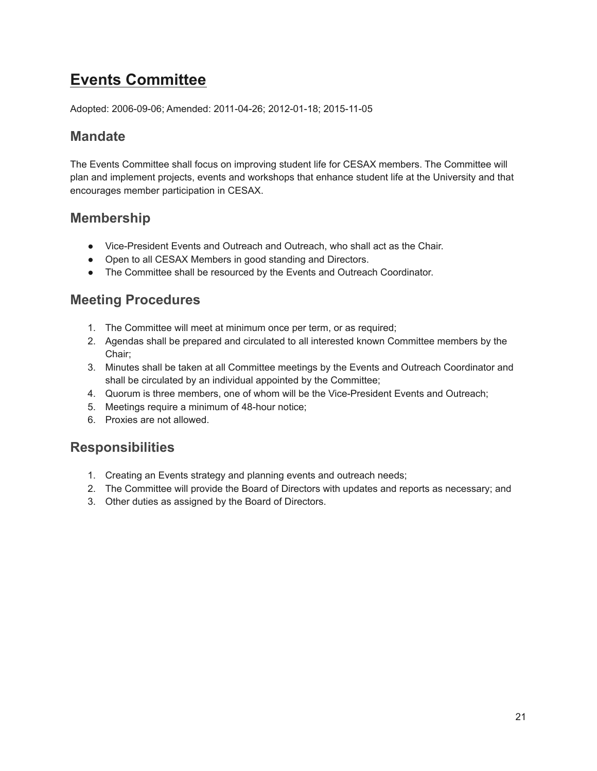## <span id="page-20-0"></span>**Events Committee**

Adopted: 2006-09-06; Amended: 2011-04-26; 2012-01-18; 2015-11-05

### **Mandate**

The Events Committee shall focus on improving student life for CESAX members. The Committee will plan and implement projects, events and workshops that enhance student life at the University and that encourages member participation in CESAX.

### **Membership**

- Vice-President Events and Outreach and Outreach, who shall act as the Chair.
- Open to all CESAX Members in good standing and Directors.
- The Committee shall be resourced by the Events and Outreach Coordinator.

### **Meeting Procedures**

- 1. The Committee will meet at minimum once per term, or as required;
- 2. Agendas shall be prepared and circulated to all interested known Committee members by the Chair;
- 3. Minutes shall be taken at all Committee meetings by the Events and Outreach Coordinator and shall be circulated by an individual appointed by the Committee;
- 4. Quorum is three members, one of whom will be the Vice-President Events and Outreach;
- 5. Meetings require a minimum of 48-hour notice;
- 6. Proxies are not allowed.

- 1. Creating an Events strategy and planning events and outreach needs;
- 2. The Committee will provide the Board of Directors with updates and reports as necessary; and
- 3. Other duties as assigned by the Board of Directors.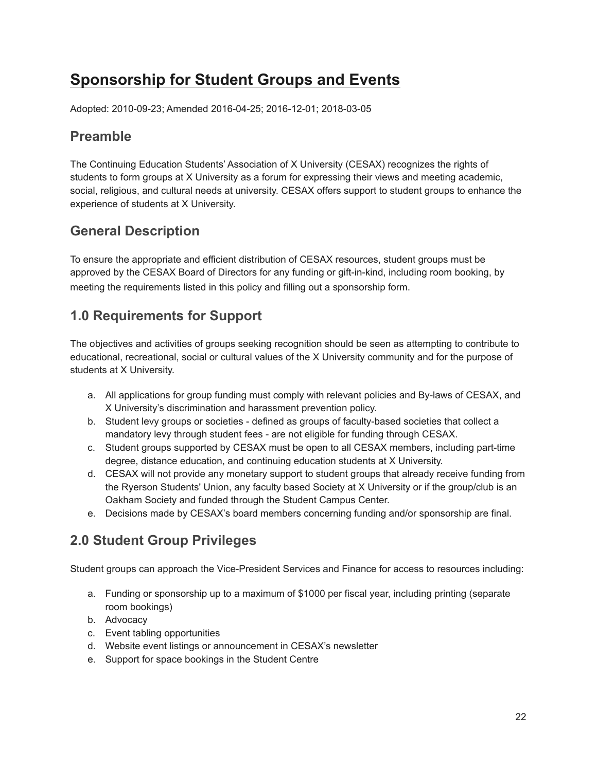### <span id="page-21-0"></span>**Sponsorship for Student Groups and Events**

Adopted: 2010-09-23; Amended 2016-04-25; 2016-12-01; 2018-03-05

### **Preamble**

The Continuing Education Students' Association of X University (CESAX) recognizes the rights of students to form groups at X University as a forum for expressing their views and meeting academic, social, religious, and cultural needs at university. CESAX offers support to student groups to enhance the experience of students at X University.

### **General Description**

To ensure the appropriate and efficient distribution of CESAX resources, student groups must be approved by the CESAX Board of Directors for any funding or gift-in-kind, including room booking, by meeting the requirements listed in this policy and filling out a sponsorship form.

### **1.0 Requirements for Support**

The objectives and activities of groups seeking recognition should be seen as attempting to contribute to educational, recreational, social or cultural values of the X University community and for the purpose of students at X University.

- a. All applications for group funding must comply with relevant policies and By-laws of CESAX, and X University's discrimination and harassment prevention policy.
- b. Student levy groups or societies defined as groups of faculty-based societies that collect a mandatory levy through student fees - are not eligible for funding through CESAX.
- c. Student groups supported by CESAX must be open to all CESAX members, including part-time degree, distance education, and continuing education students at X University.
- d. CESAX will not provide any monetary support to student groups that already receive funding from the Ryerson Students' Union, any faculty based Society at X University or if the group/club is an Oakham Society and funded through the Student Campus Center.
- e. Decisions made by CESAX's board members concerning funding and/or sponsorship are final.

### **2.0 Student Group Privileges**

Student groups can approach the Vice-President Services and Finance for access to resources including:

- a. Funding or sponsorship up to a maximum of \$1000 per fiscal year, including printing (separate room bookings)
- b. Advocacy
- c. Event tabling opportunities
- d. Website event listings or announcement in CESAX's newsletter
- e. Support for space bookings in the Student Centre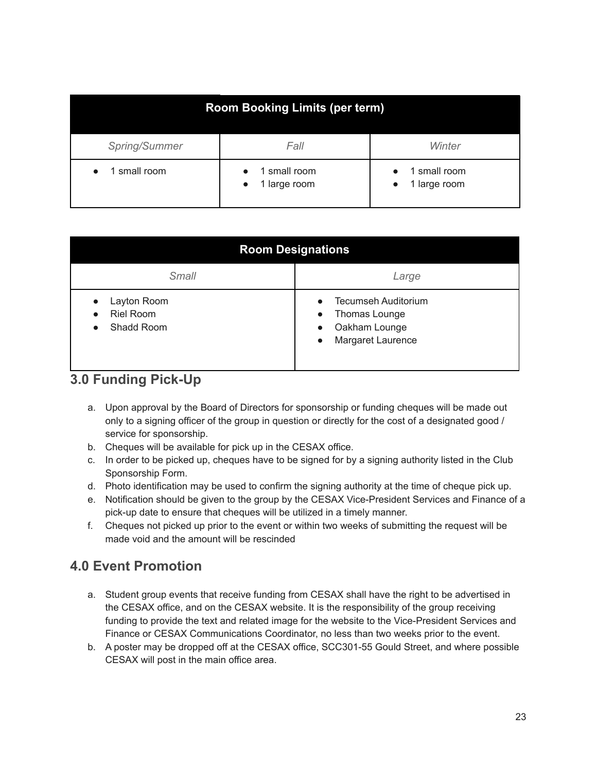| <b>Room Booking Limits (per term)</b> |                              |                              |  |
|---------------------------------------|------------------------------|------------------------------|--|
| Spring/Summer                         | Fall                         | Winter                       |  |
| 1 small room                          | 1 small room<br>1 large room | 1 small room<br>1 large room |  |

| <b>Room Designations</b>                                                             |                                                                                                                                |  |  |
|--------------------------------------------------------------------------------------|--------------------------------------------------------------------------------------------------------------------------------|--|--|
| <b>Small</b>                                                                         | Large                                                                                                                          |  |  |
| Layton Room<br>$\bullet$<br><b>Riel Room</b><br>$\bullet$<br>Shadd Room<br>$\bullet$ | Tecumseh Auditorium<br>$\bullet$<br>Thomas Lounge<br>$\bullet$<br>Oakham Lounge<br>$\bullet$<br>Margaret Laurence<br>$\bullet$ |  |  |

### **3.0 Funding Pick-Up**

- a. Upon approval by the Board of Directors for sponsorship or funding cheques will be made out only to a signing officer of the group in question or directly for the cost of a designated good / service for sponsorship.
- b. Cheques will be available for pick up in the CESAX office.
- c. In order to be picked up, cheques have to be signed for by a signing authority listed in the Club Sponsorship Form.
- d. Photo identification may be used to confirm the signing authority at the time of cheque pick up.
- e. Notification should be given to the group by the CESAX Vice-President Services and Finance of a pick-up date to ensure that cheques will be utilized in a timely manner.
- f. Cheques not picked up prior to the event or within two weeks of submitting the request will be made void and the amount will be rescinded

### **4.0 Event Promotion**

- a. Student group events that receive funding from CESAX shall have the right to be advertised in the CESAX office, and on the CESAX website. It is the responsibility of the group receiving funding to provide the text and related image for the website to the Vice-President Services and Finance or CESAX Communications Coordinator, no less than two weeks prior to the event.
- b. A poster may be dropped off at the CESAX office, SCC301-55 Gould Street, and where possible CESAX will post in the main office area.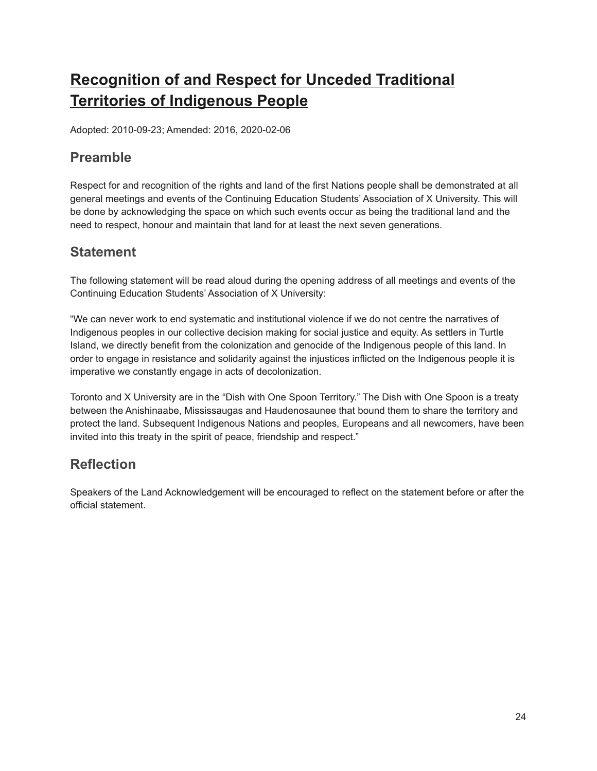## <span id="page-23-0"></span>**Recognition of and Respect for Unceded Traditional Territories of Indigenous People**

Adopted: 2010-09-23; Amended: 2016, 2020-02-06

### **Preamble**

Respect for and recognition of the rights and land of the first Nations people shall be demonstrated at all general meetings and events of the Continuing Education Students' Association of X University. This will be done by acknowledging the space on which such events occur as being the traditional land and the need to respect, honour and maintain that land for at least the next seven generations.

### **Statement**

The following statement will be read aloud during the opening address of all meetings and events of the Continuing Education Students' Association of X University:

"We can never work to end systematic and institutional violence if we do not centre the narratives of Indigenous peoples in our collective decision making for social justice and equity. As settlers in Turtle Island, we directly benefit from the colonization and genocide of the Indigenous people of this land. In order to engage in resistance and solidarity against the injustices inflicted on the Indigenous people it is imperative we constantly engage in acts of decolonization.

Toronto and X University are in the "Dish with One Spoon Territory." The Dish with One Spoon is a treaty between the Anishinaabe, Mississaugas and Haudenosaunee that bound them to share the territory and protect the land. Subsequent Indigenous Nations and peoples, Europeans and all newcomers, have been invited into this treaty in the spirit of peace, friendship and respect."

### **Reflection**

Speakers of the Land Acknowledgement will be encouraged to reflect on the statement before or after the official statement.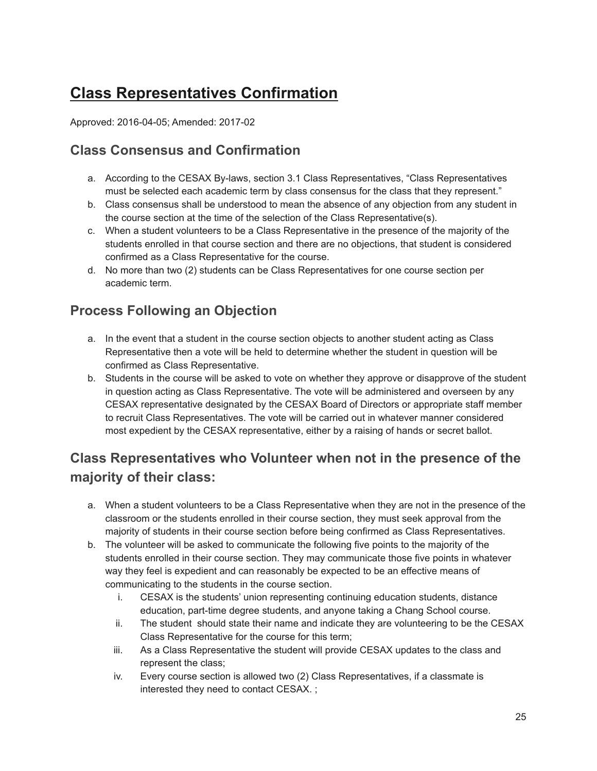## <span id="page-24-0"></span>**Class Representatives Confirmation**

Approved: 2016-04-05; Amended: 2017-02

### **Class Consensus and Confirmation**

- a. According to the CESAX By-laws, section 3.1 Class Representatives, "Class Representatives must be selected each academic term by class consensus for the class that they represent."
- b. Class consensus shall be understood to mean the absence of any objection from any student in the course section at the time of the selection of the Class Representative(s).
- c. When a student volunteers to be a Class Representative in the presence of the majority of the students enrolled in that course section and there are no objections, that student is considered confirmed as a Class Representative for the course.
- d. No more than two (2) students can be Class Representatives for one course section per academic term.

### **Process Following an Objection**

- a. In the event that a student in the course section objects to another student acting as Class Representative then a vote will be held to determine whether the student in question will be confirmed as Class Representative.
- b. Students in the course will be asked to vote on whether they approve or disapprove of the student in question acting as Class Representative. The vote will be administered and overseen by any CESAX representative designated by the CESAX Board of Directors or appropriate staff member to recruit Class Representatives. The vote will be carried out in whatever manner considered most expedient by the CESAX representative, either by a raising of hands or secret ballot.

### **Class Representatives who Volunteer when not in the presence of the majority of their class:**

- a. When a student volunteers to be a Class Representative when they are not in the presence of the classroom or the students enrolled in their course section, they must seek approval from the majority of students in their course section before being confirmed as Class Representatives.
- b. The volunteer will be asked to communicate the following five points to the majority of the students enrolled in their course section. They may communicate those five points in whatever way they feel is expedient and can reasonably be expected to be an effective means of communicating to the students in the course section.
	- i. CESAX is the students' union representing continuing education students, distance education, part-time degree students, and anyone taking a Chang School course.
	- ii. The student should state their name and indicate they are volunteering to be the CESAX Class Representative for the course for this term;
	- iii. As a Class Representative the student will provide CESAX updates to the class and represent the class;
	- iv. Every course section is allowed two (2) Class Representatives, if a classmate is interested they need to contact CESAX. ;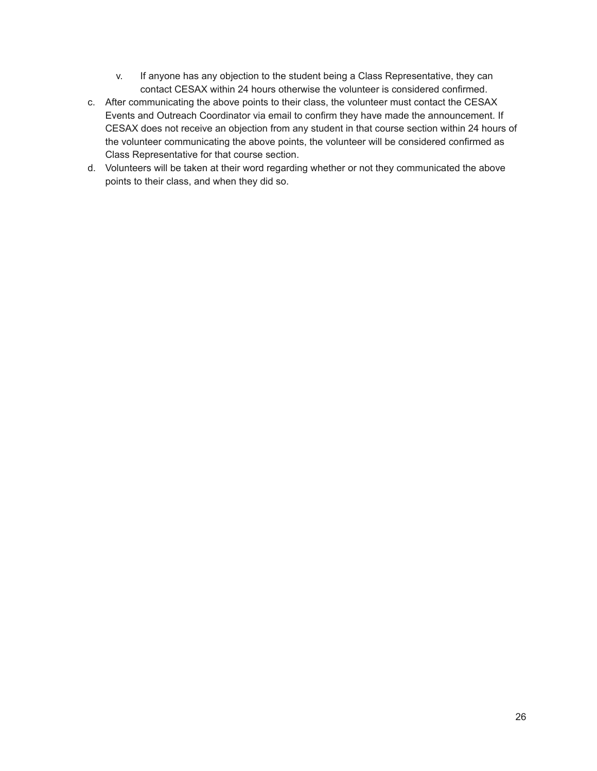- v. If anyone has any objection to the student being a Class Representative, they can contact CESAX within 24 hours otherwise the volunteer is considered confirmed.
- c. After communicating the above points to their class, the volunteer must contact the CESAX Events and Outreach Coordinator via email to confirm they have made the announcement. If CESAX does not receive an objection from any student in that course section within 24 hours of the volunteer communicating the above points, the volunteer will be considered confirmed as Class Representative for that course section.
- d. Volunteers will be taken at their word regarding whether or not they communicated the above points to their class, and when they did so.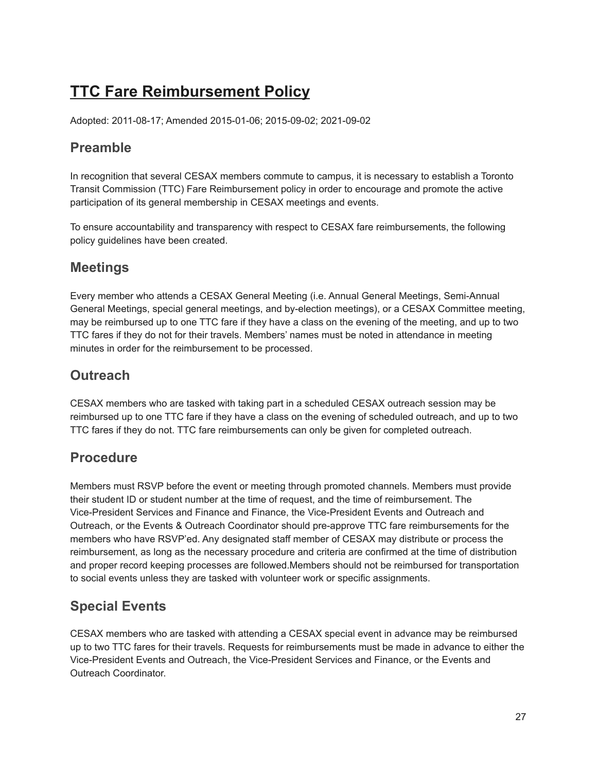## <span id="page-26-0"></span>**TTC Fare Reimbursement Policy**

Adopted: 2011-08-17; Amended 2015-01-06; 2015-09-02; 2021-09-02

### **Preamble**

In recognition that several CESAX members commute to campus, it is necessary to establish a Toronto Transit Commission (TTC) Fare Reimbursement policy in order to encourage and promote the active participation of its general membership in CESAX meetings and events.

To ensure accountability and transparency with respect to CESAX fare reimbursements, the following policy guidelines have been created.

### **Meetings**

Every member who attends a CESAX General Meeting (i.e. Annual General Meetings, Semi-Annual General Meetings, special general meetings, and by-election meetings), or a CESAX Committee meeting, may be reimbursed up to one TTC fare if they have a class on the evening of the meeting, and up to two TTC fares if they do not for their travels. Members' names must be noted in attendance in meeting minutes in order for the reimbursement to be processed.

### **Outreach**

CESAX members who are tasked with taking part in a scheduled CESAX outreach session may be reimbursed up to one TTC fare if they have a class on the evening of scheduled outreach, and up to two TTC fares if they do not. TTC fare reimbursements can only be given for completed outreach.

### **Procedure**

Members must RSVP before the event or meeting through promoted channels. Members must provide their student ID or student number at the time of request, and the time of reimbursement. The Vice-President Services and Finance and Finance, the Vice-President Events and Outreach and Outreach, or the Events & Outreach Coordinator should pre-approve TTC fare reimbursements for the members who have RSVP'ed. Any designated staff member of CESAX may distribute or process the reimbursement, as long as the necessary procedure and criteria are confirmed at the time of distribution and proper record keeping processes are followed.Members should not be reimbursed for transportation to social events unless they are tasked with volunteer work or specific assignments.

### **Special Events**

CESAX members who are tasked with attending a CESAX special event in advance may be reimbursed up to two TTC fares for their travels. Requests for reimbursements must be made in advance to either the Vice-President Events and Outreach, the Vice-President Services and Finance, or the Events and Outreach Coordinator.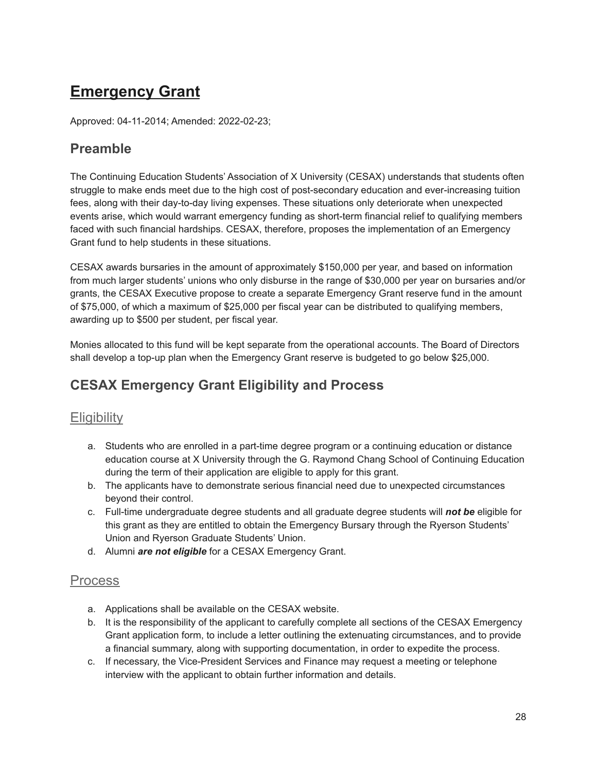## <span id="page-27-0"></span>**Emergency Grant**

Approved: 04-11-2014; Amended: 2022-02-23;

### **Preamble**

The Continuing Education Students' Association of X University (CESAX) understands that students often struggle to make ends meet due to the high cost of post-secondary education and ever-increasing tuition fees, along with their day-to-day living expenses. These situations only deteriorate when unexpected events arise, which would warrant emergency funding as short-term financial relief to qualifying members faced with such financial hardships. CESAX, therefore, proposes the implementation of an Emergency Grant fund to help students in these situations.

CESAX awards bursaries in the amount of approximately \$150,000 per year, and based on information from much larger students' unions who only disburse in the range of \$30,000 per year on bursaries and/or grants, the CESAX Executive propose to create a separate Emergency Grant reserve fund in the amount of \$75,000, of which a maximum of \$25,000 per fiscal year can be distributed to qualifying members, awarding up to \$500 per student, per fiscal year.

Monies allocated to this fund will be kept separate from the operational accounts. The Board of Directors shall develop a top-up plan when the Emergency Grant reserve is budgeted to go below \$25,000.

### **CESAX Emergency Grant Eligibility and Process**

### **Eligibility**

- a. Students who are enrolled in a part-time degree program or a continuing education or distance education course at X University through the G. Raymond Chang School of Continuing Education during the term of their application are eligible to apply for this grant.
- b. The applicants have to demonstrate serious financial need due to unexpected circumstances beyond their control.
- c. Full-time undergraduate degree students and all graduate degree students will *not be* eligible for this grant as they are entitled to obtain the Emergency Bursary through the Ryerson Students' Union and Ryerson Graduate Students' Union.
- d. Alumni *are not eligible* for a CESAX Emergency Grant.

#### Process

- a. Applications shall be available on the CESAX website.
- b. It is the responsibility of the applicant to carefully complete all sections of the CESAX Emergency Grant application form, to include a letter outlining the extenuating circumstances, and to provide a financial summary, along with supporting documentation, in order to expedite the process.
- c. If necessary, the Vice-President Services and Finance may request a meeting or telephone interview with the applicant to obtain further information and details.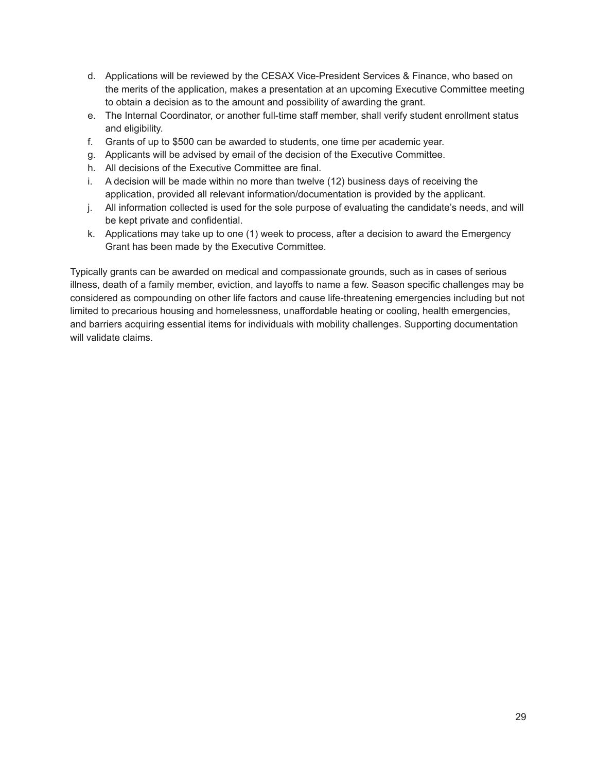- d. Applications will be reviewed by the CESAX Vice-President Services & Finance, who based on the merits of the application, makes a presentation at an upcoming Executive Committee meeting to obtain a decision as to the amount and possibility of awarding the grant.
- e. The Internal Coordinator, or another full-time staff member, shall verify student enrollment status and eligibility.
- f. Grants of up to \$500 can be awarded to students, one time per academic year.
- g. Applicants will be advised by email of the decision of the Executive Committee.
- h. All decisions of the Executive Committee are final.
- i. A decision will be made within no more than twelve (12) business days of receiving the application, provided all relevant information/documentation is provided by the applicant.
- j. All information collected is used for the sole purpose of evaluating the candidate's needs, and will be kept private and confidential.
- k. Applications may take up to one (1) week to process, after a decision to award the Emergency Grant has been made by the Executive Committee.

Typically grants can be awarded on medical and compassionate grounds, such as in cases of serious illness, death of a family member, eviction, and layoffs to name a few. Season specific challenges may be considered as compounding on other life factors and cause life-threatening emergencies including but not limited to precarious housing and homelessness, unaffordable heating or cooling, health emergencies, and barriers acquiring essential items for individuals with mobility challenges. Supporting documentation will validate claims.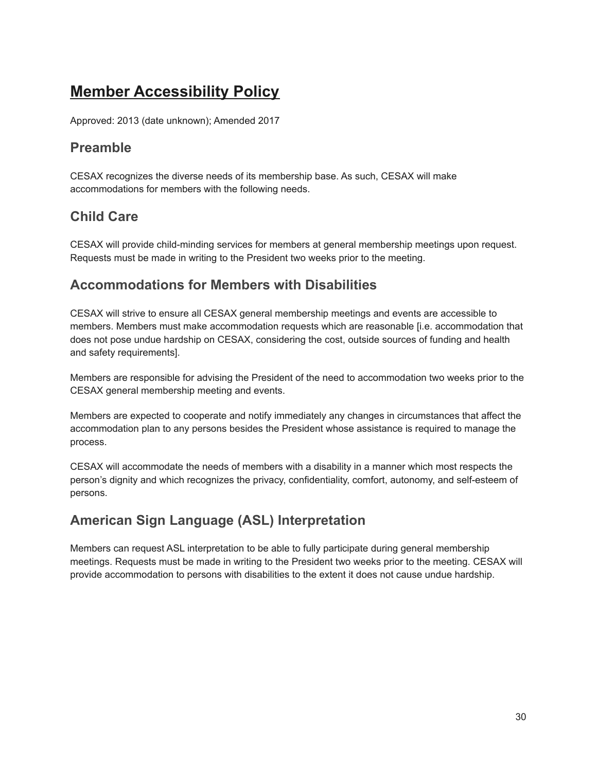## <span id="page-29-0"></span>**Member Accessibility Policy**

Approved: 2013 (date unknown); Amended 2017

### **Preamble**

CESAX recognizes the diverse needs of its membership base. As such, CESAX will make accommodations for members with the following needs.

### **Child Care**

CESAX will provide child-minding services for members at general membership meetings upon request. Requests must be made in writing to the President two weeks prior to the meeting.

### **Accommodations for Members with Disabilities**

CESAX will strive to ensure all CESAX general membership meetings and events are accessible to members. Members must make accommodation requests which are reasonable [i.e. accommodation that does not pose undue hardship on CESAX, considering the cost, outside sources of funding and health and safety requirements].

Members are responsible for advising the President of the need to accommodation two weeks prior to the CESAX general membership meeting and events.

Members are expected to cooperate and notify immediately any changes in circumstances that affect the accommodation plan to any persons besides the President whose assistance is required to manage the process.

CESAX will accommodate the needs of members with a disability in a manner which most respects the person's dignity and which recognizes the privacy, confidentiality, comfort, autonomy, and self-esteem of persons.

### **American Sign Language (ASL) Interpretation**

Members can request ASL interpretation to be able to fully participate during general membership meetings. Requests must be made in writing to the President two weeks prior to the meeting. CESAX will provide accommodation to persons with disabilities to the extent it does not cause undue hardship.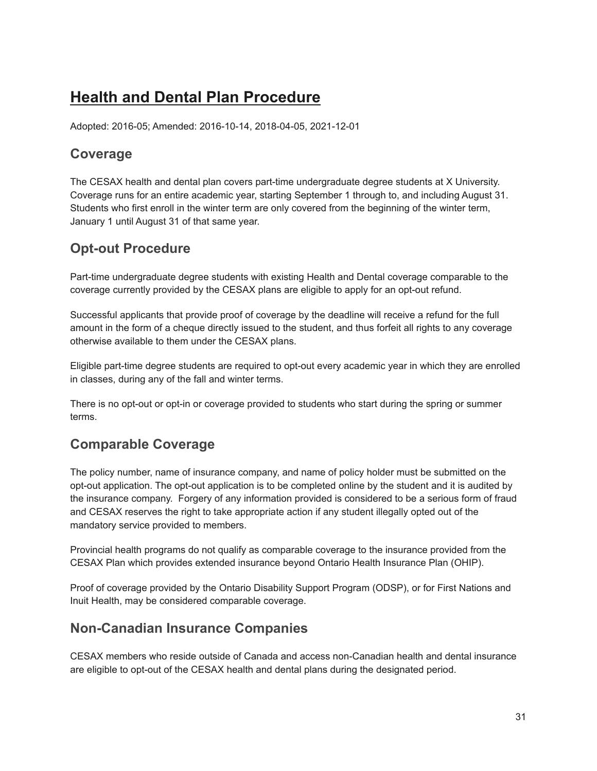### <span id="page-30-0"></span>**Health and Dental Plan Procedure**

Adopted: 2016-05; Amended: 2016-10-14, 2018-04-05, 2021-12-01

### **Coverage**

The CESAX health and dental plan covers part-time undergraduate degree students at X University. Coverage runs for an entire academic year, starting September 1 through to, and including August 31. Students who first enroll in the winter term are only covered from the beginning of the winter term, January 1 until August 31 of that same year.

### **Opt-out Procedure**

Part-time undergraduate degree students with existing Health and Dental coverage comparable to the coverage currently provided by the CESAX plans are eligible to apply for an opt-out refund.

Successful applicants that provide proof of coverage by the deadline will receive a refund for the full amount in the form of a cheque directly issued to the student, and thus forfeit all rights to any coverage otherwise available to them under the CESAX plans.

Eligible part-time degree students are required to opt-out every academic year in which they are enrolled in classes, during any of the fall and winter terms.

There is no opt-out or opt-in or coverage provided to students who start during the spring or summer terms.

### **Comparable Coverage**

The policy number, name of insurance company, and name of policy holder must be submitted on the opt-out application. The opt-out application is to be completed online by the student and it is audited by the insurance company. Forgery of any information provided is considered to be a serious form of fraud and CESAX reserves the right to take appropriate action if any student illegally opted out of the mandatory service provided to members.

Provincial health programs do not qualify as comparable coverage to the insurance provided from the CESAX Plan which provides extended insurance beyond Ontario Health Insurance Plan (OHIP).

Proof of coverage provided by the Ontario Disability Support Program (ODSP), or for First Nations and Inuit Health, may be considered comparable coverage.

### **Non-Canadian Insurance Companies**

CESAX members who reside outside of Canada and access non-Canadian health and dental insurance are eligible to opt-out of the CESAX health and dental plans during the designated period.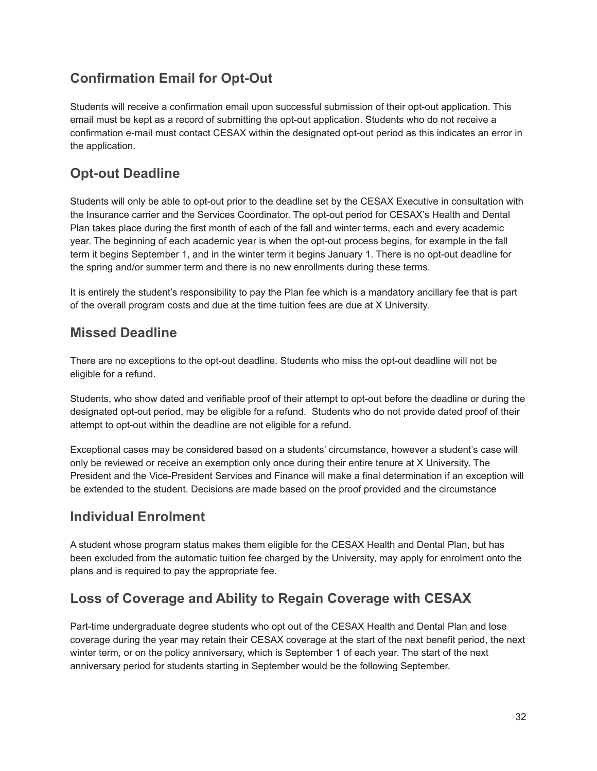### **Confirmation Email for Opt-Out**

Students will receive a confirmation email upon successful submission of their opt-out application. This email must be kept as a record of submitting the opt-out application. Students who do not receive a confirmation e-mail must contact CESAX within the designated opt-out period as this indicates an error in the application.

### **Opt-out Deadline**

Students will only be able to opt-out prior to the deadline set by the CESAX Executive in consultation with the Insurance carrier and the Services Coordinator. The opt-out period for CESAX's Health and Dental Plan takes place during the first month of each of the fall and winter terms, each and every academic year. The beginning of each academic year is when the opt-out process begins, for example in the fall term it begins September 1, and in the winter term it begins January 1. There is no opt-out deadline for the spring and/or summer term and there is no new enrollments during these terms.

It is entirely the student's responsibility to pay the Plan fee which is a mandatory ancillary fee that is part of the overall program costs and due at the time tuition fees are due at X University.

### **Missed Deadline**

There are no exceptions to the opt-out deadline. Students who miss the opt-out deadline will not be eligible for a refund.

Students, who show dated and verifiable proof of their attempt to opt-out before the deadline or during the designated opt-out period, may be eligible for a refund. Students who do not provide dated proof of their attempt to opt-out within the deadline are not eligible for a refund.

Exceptional cases may be considered based on a students' circumstance, however a student's case will only be reviewed or receive an exemption only once during their entire tenure at X University. The President and the Vice-President Services and Finance will make a final determination if an exception will be extended to the student. Decisions are made based on the proof provided and the circumstance

### **Individual Enrolment**

A student whose program status makes them eligible for the CESAX Health and Dental Plan, but has been excluded from the automatic tuition fee charged by the University, may apply for enrolment onto the plans and is required to pay the appropriate fee.

### **Loss of Coverage and Ability to Regain Coverage with CESAX**

Part-time undergraduate degree students who opt out of the CESAX Health and Dental Plan and lose coverage during the year may retain their CESAX coverage at the start of the next benefit period, the next winter term, or on the policy anniversary, which is September 1 of each year. The start of the next anniversary period for students starting in September would be the following September.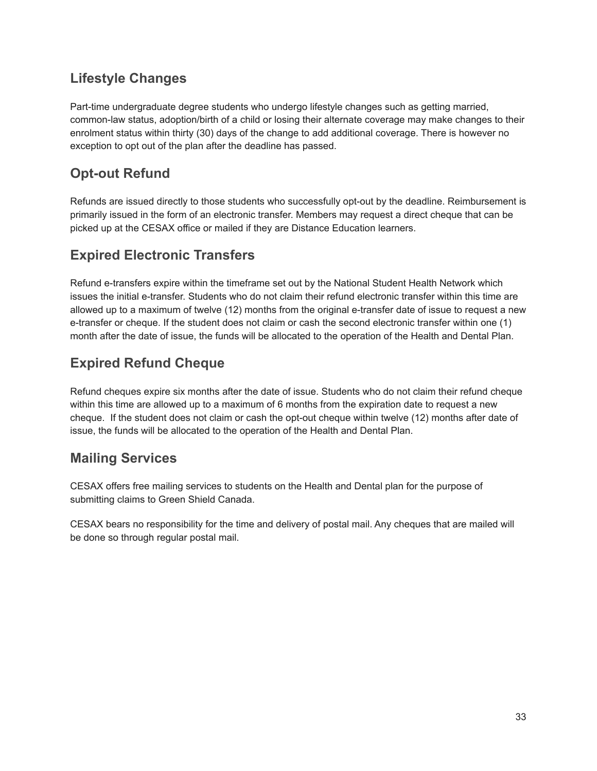### **Lifestyle Changes**

Part-time undergraduate degree students who undergo lifestyle changes such as getting married, common-law status, adoption/birth of a child or losing their alternate coverage may make changes to their enrolment status within thirty (30) days of the change to add additional coverage. There is however no exception to opt out of the plan after the deadline has passed.

### **Opt-out Refund**

Refunds are issued directly to those students who successfully opt-out by the deadline. Reimbursement is primarily issued in the form of an electronic transfer. Members may request a direct cheque that can be picked up at the CESAX office or mailed if they are Distance Education learners.

### **Expired Electronic Transfers**

Refund e-transfers expire within the timeframe set out by the National Student Health Network which issues the initial e-transfer. Students who do not claim their refund electronic transfer within this time are allowed up to a maximum of twelve (12) months from the original e-transfer date of issue to request a new e-transfer or cheque. If the student does not claim or cash the second electronic transfer within one (1) month after the date of issue, the funds will be allocated to the operation of the Health and Dental Plan.

### **Expired Refund Cheque**

Refund cheques expire six months after the date of issue. Students who do not claim their refund cheque within this time are allowed up to a maximum of 6 months from the expiration date to request a new cheque. If the student does not claim or cash the opt-out cheque within twelve (12) months after date of issue, the funds will be allocated to the operation of the Health and Dental Plan.

### **Mailing Services**

CESAX offers free mailing services to students on the Health and Dental plan for the purpose of submitting claims to Green Shield Canada.

CESAX bears no responsibility for the time and delivery of postal mail. Any cheques that are mailed will be done so through regular postal mail.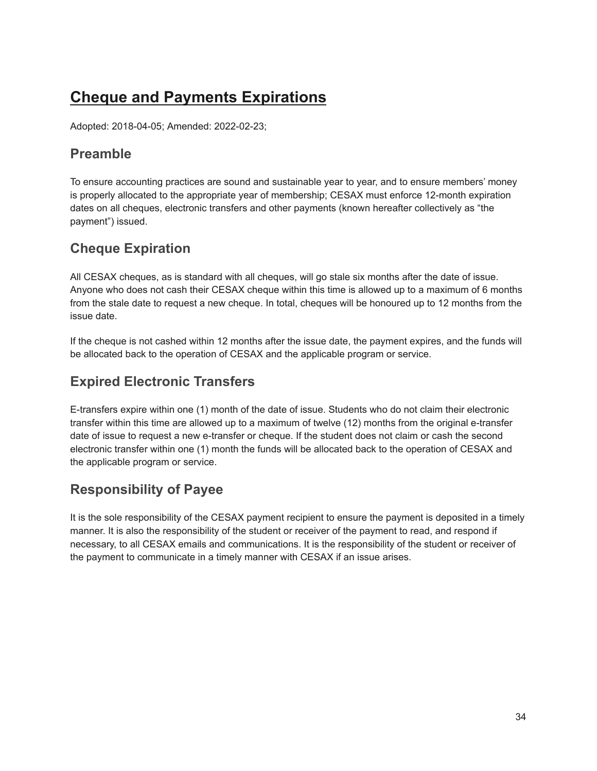## <span id="page-33-0"></span>**Cheque and Payments Expirations**

Adopted: 2018-04-05; Amended: 2022-02-23;

### **Preamble**

To ensure accounting practices are sound and sustainable year to year, and to ensure members' money is properly allocated to the appropriate year of membership; CESAX must enforce 12-month expiration dates on all cheques, electronic transfers and other payments (known hereafter collectively as "the payment") issued.

### **Cheque Expiration**

All CESAX cheques, as is standard with all cheques, will go stale six months after the date of issue. Anyone who does not cash their CESAX cheque within this time is allowed up to a maximum of 6 months from the stale date to request a new cheque. In total, cheques will be honoured up to 12 months from the issue date.

If the cheque is not cashed within 12 months after the issue date, the payment expires, and the funds will be allocated back to the operation of CESAX and the applicable program or service.

### **Expired Electronic Transfers**

E-transfers expire within one (1) month of the date of issue. Students who do not claim their electronic transfer within this time are allowed up to a maximum of twelve (12) months from the original e-transfer date of issue to request a new e-transfer or cheque. If the student does not claim or cash the second electronic transfer within one (1) month the funds will be allocated back to the operation of CESAX and the applicable program or service.

### **Responsibility of Payee**

It is the sole responsibility of the CESAX payment recipient to ensure the payment is deposited in a timely manner. It is also the responsibility of the student or receiver of the payment to read, and respond if necessary, to all CESAX emails and communications. It is the responsibility of the student or receiver of the payment to communicate in a timely manner with CESAX if an issue arises.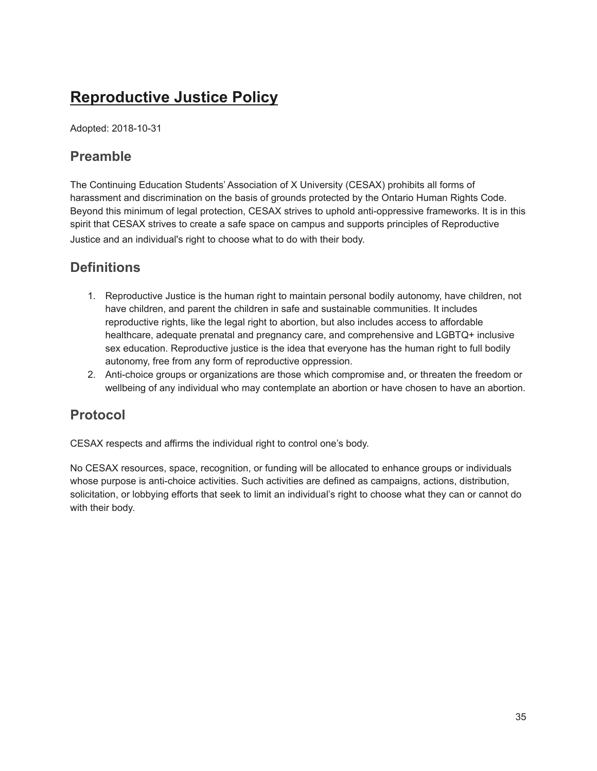## <span id="page-34-0"></span>**Reproductive Justice Policy**

Adopted: 2018-10-31

### **Preamble**

The Continuing Education Students' Association of X University (CESAX) prohibits all forms of harassment and discrimination on the basis of grounds protected by the Ontario Human Rights Code. Beyond this minimum of legal protection, CESAX strives to uphold anti-oppressive frameworks. It is in this spirit that CESAX strives to create a safe space on campus and supports principles of Reproductive Justice and an individual's right to choose what to do with their body.

### **Definitions**

- 1. Reproductive Justice is the human right to maintain personal bodily autonomy, have children, not have children, and parent the children in safe and sustainable communities. It includes reproductive rights, like the legal right to abortion, but also includes access to affordable healthcare, adequate prenatal and pregnancy care, and comprehensive and LGBTQ+ inclusive sex education. Reproductive justice is the idea that everyone has the human right to full bodily autonomy, free from any form of reproductive oppression.
- 2. Anti-choice groups or organizations are those which compromise and, or threaten the freedom or wellbeing of any individual who may contemplate an abortion or have chosen to have an abortion.

### **Protocol**

CESAX respects and affirms the individual right to control one's body.

No CESAX resources, space, recognition, or funding will be allocated to enhance groups or individuals whose purpose is anti-choice activities. Such activities are defined as campaigns, actions, distribution, solicitation, or lobbying efforts that seek to limit an individual's right to choose what they can or cannot do with their body.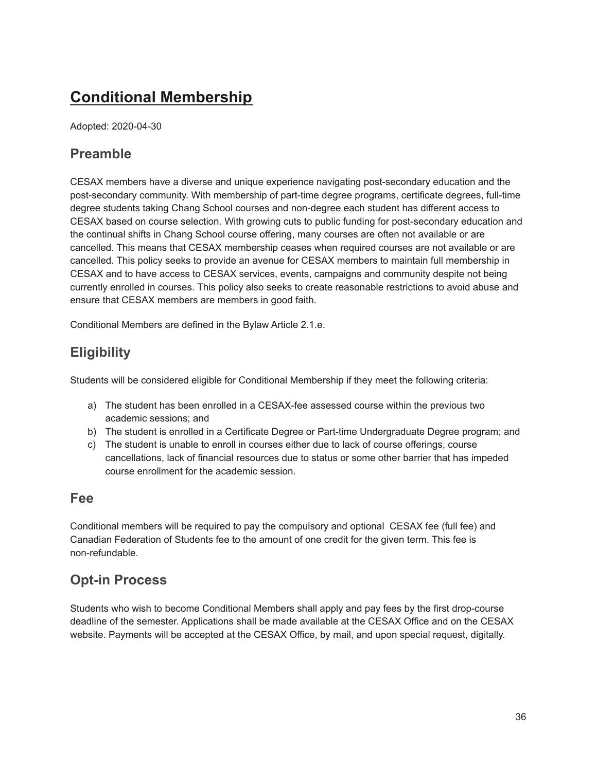## <span id="page-35-0"></span>**Conditional Membership**

Adopted: 2020-04-30

### **Preamble**

CESAX members have a diverse and unique experience navigating post-secondary education and the post-secondary community. With membership of part-time degree programs, certificate degrees, full-time degree students taking Chang School courses and non-degree each student has different access to CESAX based on course selection. With growing cuts to public funding for post-secondary education and the continual shifts in Chang School course offering, many courses are often not available or are cancelled. This means that CESAX membership ceases when required courses are not available or are cancelled. This policy seeks to provide an avenue for CESAX members to maintain full membership in CESAX and to have access to CESAX services, events, campaigns and community despite not being currently enrolled in courses. This policy also seeks to create reasonable restrictions to avoid abuse and ensure that CESAX members are members in good faith.

Conditional Members are defined in the Bylaw Article 2.1.e.

### **Eligibility**

Students will be considered eligible for Conditional Membership if they meet the following criteria:

- a) The student has been enrolled in a CESAX-fee assessed course within the previous two academic sessions; and
- b) The student is enrolled in a Certificate Degree or Part-time Undergraduate Degree program; and
- c) The student is unable to enroll in courses either due to lack of course offerings, course cancellations, lack of financial resources due to status or some other barrier that has impeded course enrollment for the academic session.

### **Fee**

Conditional members will be required to pay the compulsory and optional CESAX fee (full fee) and Canadian Federation of Students fee to the amount of one credit for the given term. This fee is non-refundable.

### **Opt-in Process**

Students who wish to become Conditional Members shall apply and pay fees by the first drop-course deadline of the semester. Applications shall be made available at the CESAX Office and on the CESAX website. Payments will be accepted at the CESAX Office, by mail, and upon special request, digitally.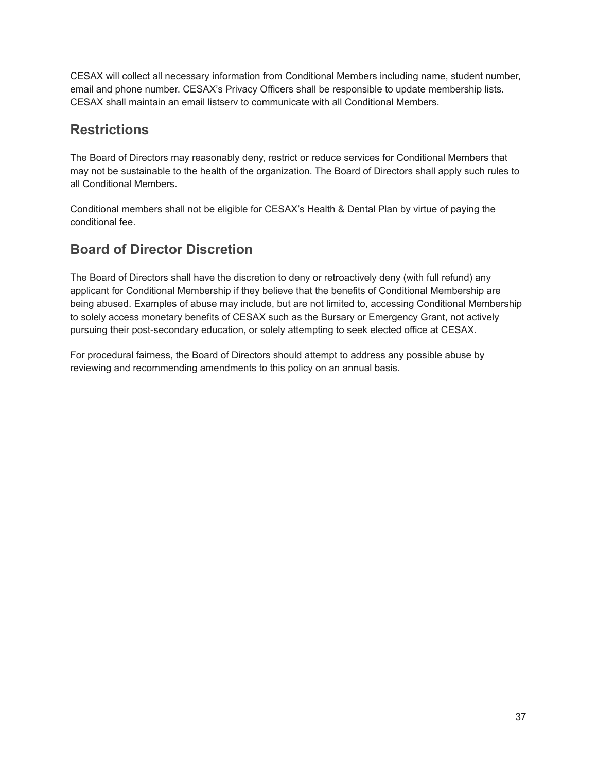CESAX will collect all necessary information from Conditional Members including name, student number, email and phone number. CESAX's Privacy Officers shall be responsible to update membership lists. CESAX shall maintain an email listserv to communicate with all Conditional Members.

### **Restrictions**

The Board of Directors may reasonably deny, restrict or reduce services for Conditional Members that may not be sustainable to the health of the organization. The Board of Directors shall apply such rules to all Conditional Members.

Conditional members shall not be eligible for CESAX's Health & Dental Plan by virtue of paying the conditional fee.

### **Board of Director Discretion**

The Board of Directors shall have the discretion to deny or retroactively deny (with full refund) any applicant for Conditional Membership if they believe that the benefits of Conditional Membership are being abused. Examples of abuse may include, but are not limited to, accessing Conditional Membership to solely access monetary benefits of CESAX such as the Bursary or Emergency Grant, not actively pursuing their post-secondary education, or solely attempting to seek elected office at CESAX.

For procedural fairness, the Board of Directors should attempt to address any possible abuse by reviewing and recommending amendments to this policy on an annual basis.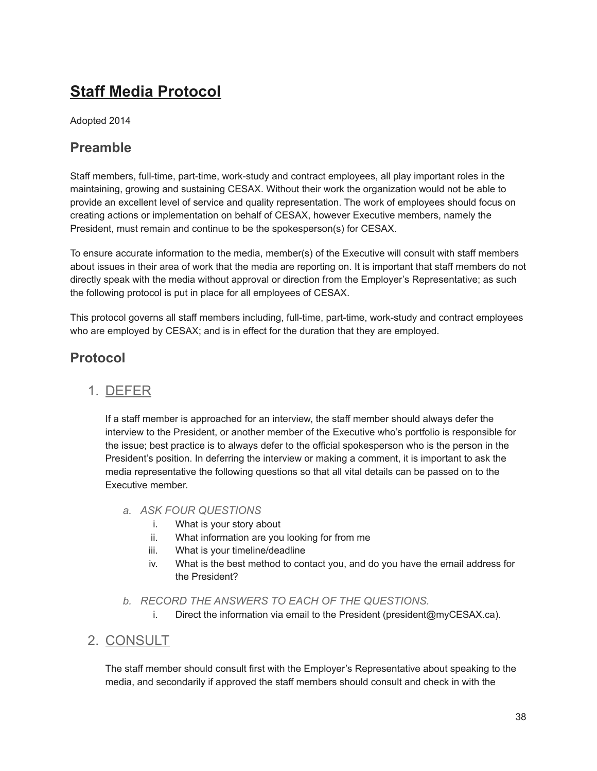## <span id="page-37-0"></span>**Staff Media Protocol**

Adopted 2014

### **Preamble**

Staff members, full-time, part-time, work-study and contract employees, all play important roles in the maintaining, growing and sustaining CESAX. Without their work the organization would not be able to provide an excellent level of service and quality representation. The work of employees should focus on creating actions or implementation on behalf of CESAX, however Executive members, namely the President, must remain and continue to be the spokesperson(s) for CESAX.

To ensure accurate information to the media, member(s) of the Executive will consult with staff members about issues in their area of work that the media are reporting on. It is important that staff members do not directly speak with the media without approval or direction from the Employer's Representative; as such the following protocol is put in place for all employees of CESAX.

This protocol governs all staff members including, full-time, part-time, work-study and contract employees who are employed by CESAX; and is in effect for the duration that they are employed.

### **Protocol**

### 1. DEFER

If a staff member is approached for an interview, the staff member should always defer the interview to the President, or another member of the Executive who's portfolio is responsible for the issue; best practice is to always defer to the official spokesperson who is the person in the President's position. In deferring the interview or making a comment, it is important to ask the media representative the following questions so that all vital details can be passed on to the Executive member.

- *a. ASK FOUR QUESTIONS*
	- i. What is your story about
	- ii. What information are you looking for from me
	- iii. What is your timeline/deadline
	- iv. What is the best method to contact you, and do you have the email address for the President?
- *b. RECORD THE ANSWERS TO EACH OF THE QUESTIONS.*
	- i. Direct the information via email to the President (president@myCESAX.ca).

#### 2. CONSULT

The staff member should consult first with the Employer's Representative about speaking to the media, and secondarily if approved the staff members should consult and check in with the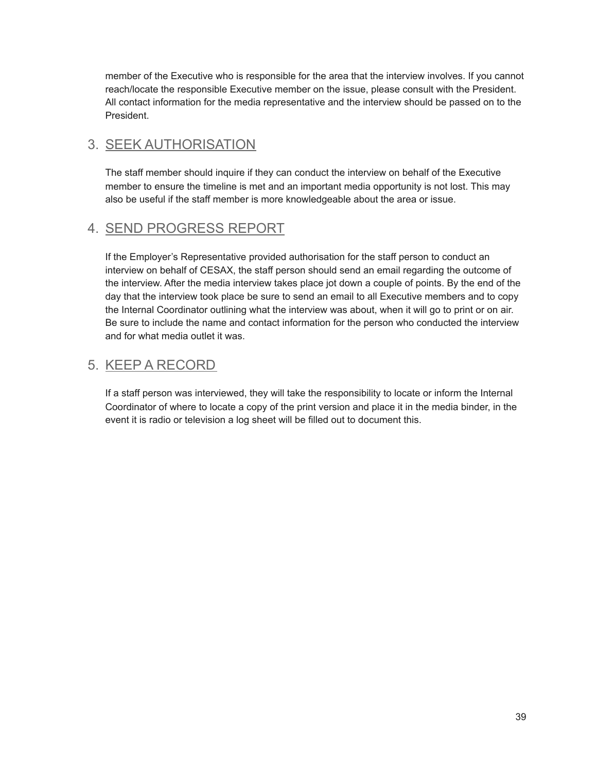member of the Executive who is responsible for the area that the interview involves. If you cannot reach/locate the responsible Executive member on the issue, please consult with the President. All contact information for the media representative and the interview should be passed on to the President.

### 3. SEEK AUTHORISATION

The staff member should inquire if they can conduct the interview on behalf of the Executive member to ensure the timeline is met and an important media opportunity is not lost. This may also be useful if the staff member is more knowledgeable about the area or issue.

### 4. SEND PROGRESS REPORT

If the Employer's Representative provided authorisation for the staff person to conduct an interview on behalf of CESAX, the staff person should send an email regarding the outcome of the interview. After the media interview takes place jot down a couple of points. By the end of the day that the interview took place be sure to send an email to all Executive members and to copy the Internal Coordinator outlining what the interview was about, when it will go to print or on air. Be sure to include the name and contact information for the person who conducted the interview and for what media outlet it was.

### 5. KEEP A RECORD

If a staff person was interviewed, they will take the responsibility to locate or inform the Internal Coordinator of where to locate a copy of the print version and place it in the media binder, in the event it is radio or television a log sheet will be filled out to document this.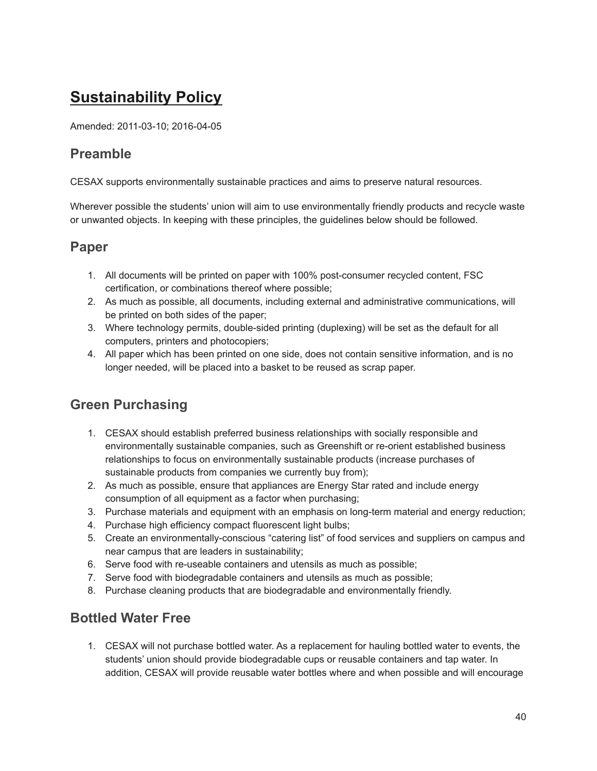## <span id="page-39-0"></span>**Sustainability Policy**

Amended: 2011-03-10; 2016-04-05

### **Preamble**

CESAX supports environmentally sustainable practices and aims to preserve natural resources.

Wherever possible the students' union will aim to use environmentally friendly products and recycle waste or unwanted objects. In keeping with these principles, the guidelines below should be followed.

### **Paper**

- 1. All documents will be printed on paper with 100% post-consumer recycled content, FSC certification, or combinations thereof where possible;
- 2. As much as possible, all documents, including external and administrative communications, will be printed on both sides of the paper;
- 3. Where technology permits, double-sided printing (duplexing) will be set as the default for all computers, printers and photocopiers;
- 4. All paper which has been printed on one side, does not contain sensitive information, and is no longer needed, will be placed into a basket to be reused as scrap paper.

### **Green Purchasing**

- 1. CESAX should establish preferred business relationships with socially responsible and environmentally sustainable companies, such as Greenshift or re-orient established business relationships to focus on environmentally sustainable products (increase purchases of sustainable products from companies we currently buy from);
- 2. As much as possible, ensure that appliances are Energy Star rated and include energy consumption of all equipment as a factor when purchasing;
- 3. Purchase materials and equipment with an emphasis on long-term material and energy reduction;
- 4. Purchase high efficiency compact fluorescent light bulbs;
- 5. Create an environmentally-conscious "catering list" of food services and suppliers on campus and near campus that are leaders in sustainability;
- 6. Serve food with re-useable containers and utensils as much as possible;
- 7. Serve food with biodegradable containers and utensils as much as possible;
- 8. Purchase cleaning products that are biodegradable and environmentally friendly.

### **Bottled Water Free**

1. CESAX will not purchase bottled water. As a replacement for hauling bottled water to events, the students' union should provide biodegradable cups or reusable containers and tap water. In addition, CESAX will provide reusable water bottles where and when possible and will encourage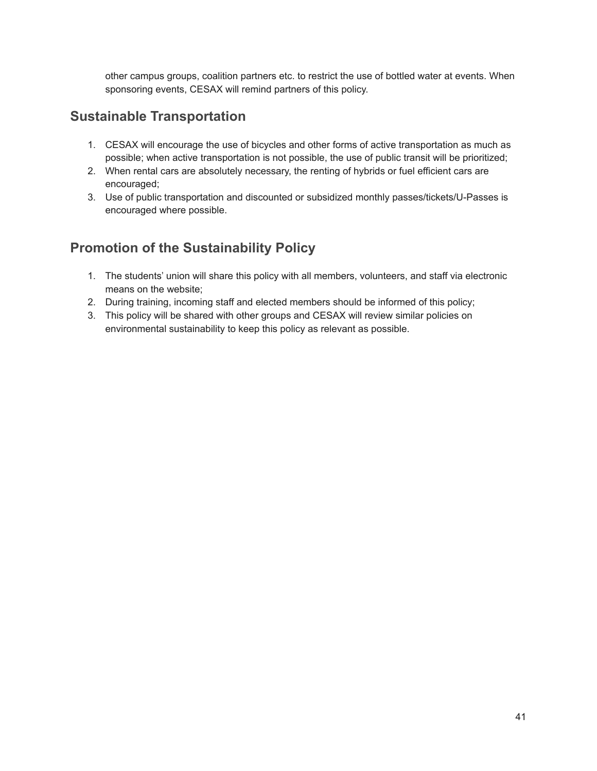other campus groups, coalition partners etc. to restrict the use of bottled water at events. When sponsoring events, CESAX will remind partners of this policy.

### **Sustainable Transportation**

- 1. CESAX will encourage the use of bicycles and other forms of active transportation as much as possible; when active transportation is not possible, the use of public transit will be prioritized;
- 2. When rental cars are absolutely necessary, the renting of hybrids or fuel efficient cars are encouraged;
- 3. Use of public transportation and discounted or subsidized monthly passes/tickets/U-Passes is encouraged where possible.

### **Promotion of the Sustainability Policy**

- 1. The students' union will share this policy with all members, volunteers, and staff via electronic means on the website;
- 2. During training, incoming staff and elected members should be informed of this policy;
- 3. This policy will be shared with other groups and CESAX will review similar policies on environmental sustainability to keep this policy as relevant as possible.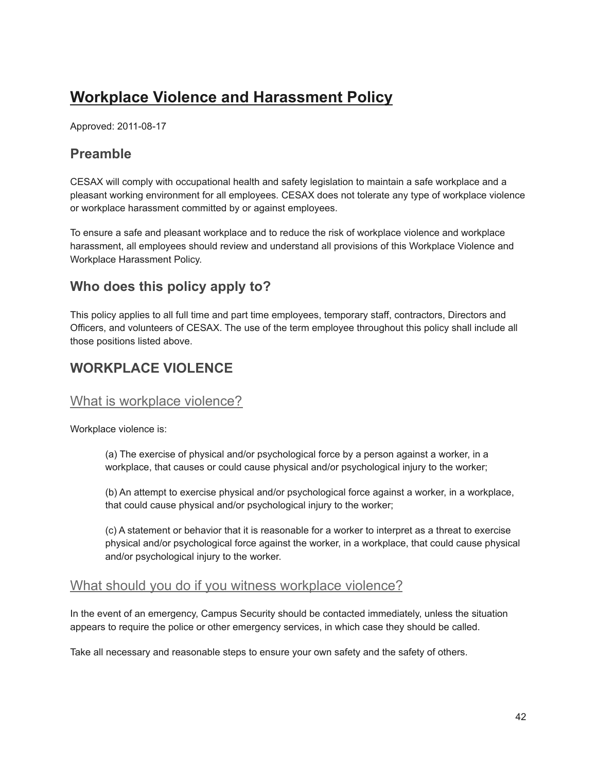## <span id="page-41-0"></span>**Workplace Violence and Harassment Policy**

Approved: 2011-08-17

### **Preamble**

CESAX will comply with occupational health and safety legislation to maintain a safe workplace and a pleasant working environment for all employees. CESAX does not tolerate any type of workplace violence or workplace harassment committed by or against employees.

To ensure a safe and pleasant workplace and to reduce the risk of workplace violence and workplace harassment, all employees should review and understand all provisions of this Workplace Violence and Workplace Harassment Policy.

### **Who does this policy apply to?**

This policy applies to all full time and part time employees, temporary staff, contractors, Directors and Officers, and volunteers of CESAX. The use of the term employee throughout this policy shall include all those positions listed above.

### **WORKPLACE VIOLENCE**

#### What is workplace violence?

Workplace violence is:

(a) The exercise of physical and/or psychological force by a person against a worker, in a workplace, that causes or could cause physical and/or psychological injury to the worker;

(b) An attempt to exercise physical and/or psychological force against a worker, in a workplace, that could cause physical and/or psychological injury to the worker;

(c) A statement or behavior that it is reasonable for a worker to interpret as a threat to exercise physical and/or psychological force against the worker, in a workplace, that could cause physical and/or psychological injury to the worker.

#### What should you do if you witness workplace violence?

In the event of an emergency, Campus Security should be contacted immediately, unless the situation appears to require the police or other emergency services, in which case they should be called.

Take all necessary and reasonable steps to ensure your own safety and the safety of others.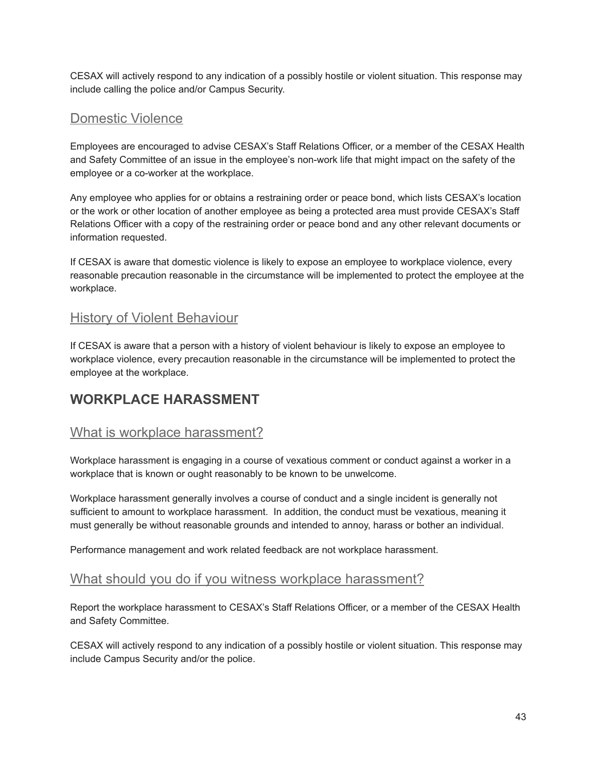CESAX will actively respond to any indication of a possibly hostile or violent situation. This response may include calling the police and/or Campus Security.

### Domestic Violence

Employees are encouraged to advise CESAX's Staff Relations Officer, or a member of the CESAX Health and Safety Committee of an issue in the employee's non-work life that might impact on the safety of the employee or a co-worker at the workplace.

Any employee who applies for or obtains a restraining order or peace bond, which lists CESAX's location or the work or other location of another employee as being a protected area must provide CESAX's Staff Relations Officer with a copy of the restraining order or peace bond and any other relevant documents or information requested.

If CESAX is aware that domestic violence is likely to expose an employee to workplace violence, every reasonable precaution reasonable in the circumstance will be implemented to protect the employee at the workplace.

### **History of Violent Behaviour**

If CESAX is aware that a person with a history of violent behaviour is likely to expose an employee to workplace violence, every precaution reasonable in the circumstance will be implemented to protect the employee at the workplace.

### **WORKPLACE HARASSMENT**

### What is workplace harassment?

Workplace harassment is engaging in a course of vexatious comment or conduct against a worker in a workplace that is known or ought reasonably to be known to be unwelcome.

Workplace harassment generally involves a course of conduct and a single incident is generally not sufficient to amount to workplace harassment. In addition, the conduct must be vexatious, meaning it must generally be without reasonable grounds and intended to annoy, harass or bother an individual.

Performance management and work related feedback are not workplace harassment.

#### What should you do if you witness workplace harassment?

Report the workplace harassment to CESAX's Staff Relations Officer, or a member of the CESAX Health and Safety Committee.

CESAX will actively respond to any indication of a possibly hostile or violent situation. This response may include Campus Security and/or the police.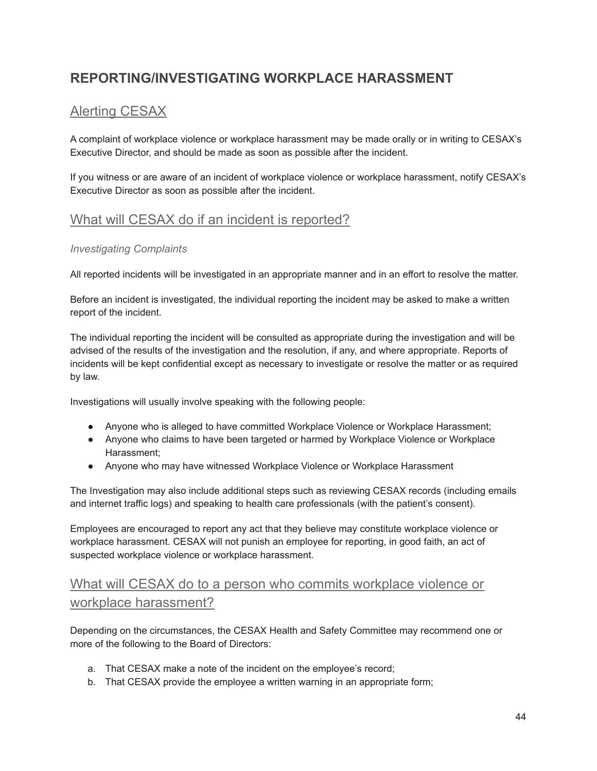### **REPORTING/INVESTIGATING WORKPLACE HARASSMENT**

### Alerting CESAX

A complaint of workplace violence or workplace harassment may be made orally or in writing to CESAX's Executive Director, and should be made as soon as possible after the incident.

If you witness or are aware of an incident of workplace violence or workplace harassment, notify CESAX's Executive Director as soon as possible after the incident.

### What will CESAX do if an incident is reported?

#### *Investigating Complaints*

All reported incidents will be investigated in an appropriate manner and in an effort to resolve the matter.

Before an incident is investigated, the individual reporting the incident may be asked to make a written report of the incident.

The individual reporting the incident will be consulted as appropriate during the investigation and will be advised of the results of the investigation and the resolution, if any, and where appropriate. Reports of incidents will be kept confidential except as necessary to investigate or resolve the matter or as required by law.

Investigations will usually involve speaking with the following people:

- Anyone who is alleged to have committed Workplace Violence or Workplace Harassment;
- Anyone who claims to have been targeted or harmed by Workplace Violence or Workplace Harassment;
- Anyone who may have witnessed Workplace Violence or Workplace Harassment

The Investigation may also include additional steps such as reviewing CESAX records (including emails and internet traffic logs) and speaking to health care professionals (with the patient's consent).

Employees are encouraged to report any act that they believe may constitute workplace violence or workplace harassment. CESAX will not punish an employee for reporting, in good faith, an act of suspected workplace violence or workplace harassment.

### What will CESAX do to a person who commits workplace violence or workplace harassment?

Depending on the circumstances, the CESAX Health and Safety Committee may recommend one or more of the following to the Board of Directors:

- a. That CESAX make a note of the incident on the employee's record;
- b. That CESAX provide the employee a written warning in an appropriate form;